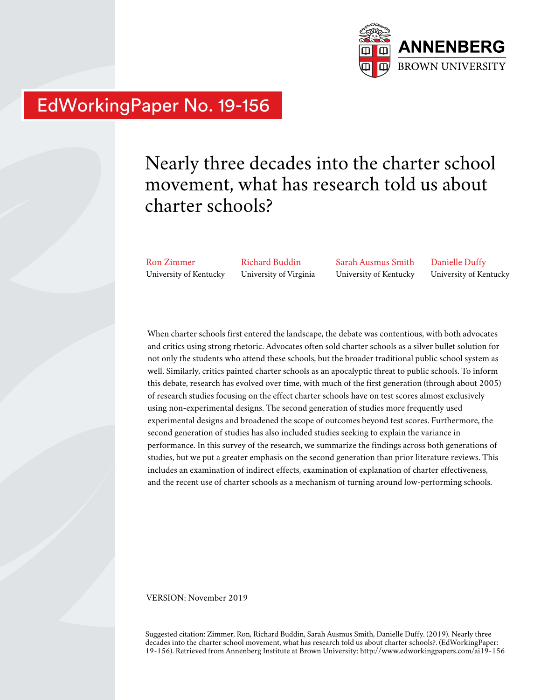

# EdWorkingPaper No. 19-156

# Nearly three decades into the charter school movement, what has research told us about charter schools?

Ron Zimmer University of Kentucky

Richard Buddin University of Virginia Sarah Ausmus Smith University of Kentucky Danielle Duffy University of Kentucky

When charter schools first entered the landscape, the debate was contentious, with both advocates and critics using strong rhetoric. Advocates often sold charter schools as a silver bullet solution for not only the students who attend these schools, but the broader traditional public school system as well. Similarly, critics painted charter schools as an apocalyptic threat to public schools. To inform this debate, research has evolved over time, with much of the first generation (through about 2005) of research studies focusing on the effect charter schools have on test scores almost exclusively using non-experimental designs. The second generation of studies more frequently used experimental designs and broadened the scope of outcomes beyond test scores. Furthermore, the second generation of studies has also included studies seeking to explain the variance in performance. In this survey of the research, we summarize the findings across both generations of studies, but we put a greater emphasis on the second generation than prior literature reviews. This includes an examination of indirect effects, examination of explanation of charter effectiveness, and the recent use of charter schools as a mechanism of turning around low-performing schools.

VERSION: November 2019

Suggested citation: Zimmer, Ron, Richard Buddin, Sarah Ausmus Smith, Danielle Duffy. (2019). Nearly three decades into the charter school movement, what has research told us about charter schools?. (EdWorkingPaper: 19-156). Retrieved from Annenberg Institute at Brown University: http://www.edworkingpapers.com/ai19-156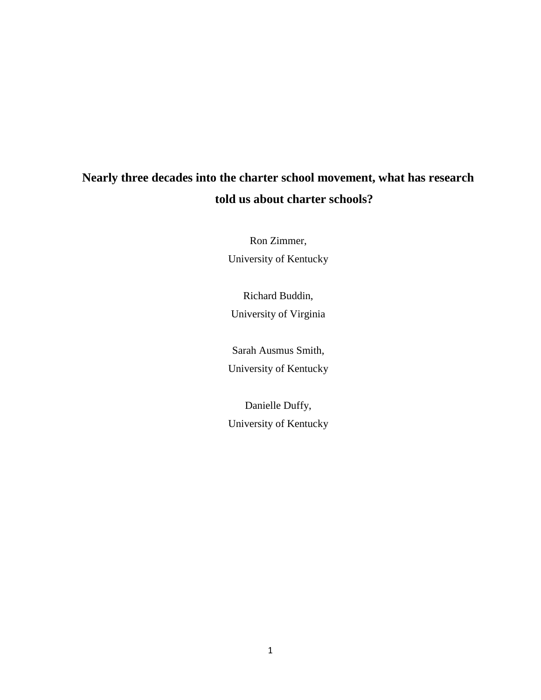# **Nearly three decades into the charter school movement, what has research told us about charter schools?**

Ron Zimmer, University of Kentucky

Richard Buddin, University of Virginia

Sarah Ausmus Smith, University of Kentucky

Danielle Duffy, University of Kentucky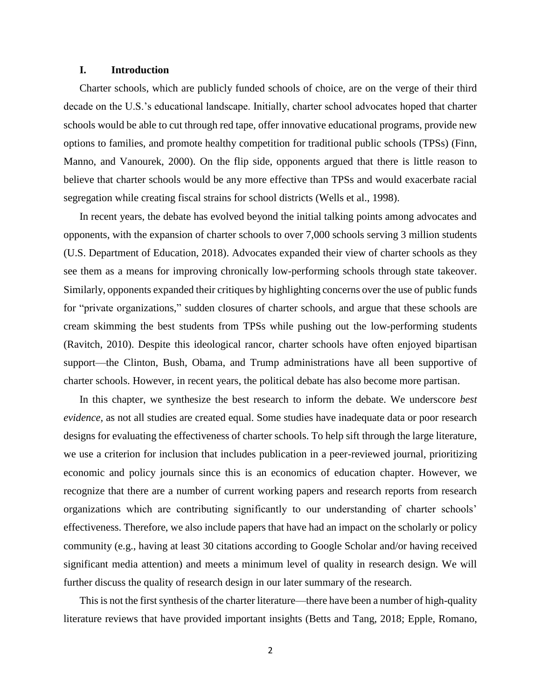#### **I. Introduction**

Charter schools, which are publicly funded schools of choice, are on the verge of their third decade on the U.S.'s educational landscape. Initially, charter school advocates hoped that charter schools would be able to cut through red tape, offer innovative educational programs, provide new options to families, and promote healthy competition for traditional public schools (TPSs) (Finn, Manno, and Vanourek, 2000). On the flip side, opponents argued that there is little reason to believe that charter schools would be any more effective than TPSs and would exacerbate racial segregation while creating fiscal strains for school districts (Wells et al., 1998).

In recent years, the debate has evolved beyond the initial talking points among advocates and opponents, with the expansion of charter schools to over 7,000 schools serving 3 million students (U.S. Department of Education, 2018). Advocates expanded their view of charter schools as they see them as a means for improving chronically low-performing schools through state takeover. Similarly, opponents expanded their critiques by highlighting concerns over the use of public funds for "private organizations," sudden closures of charter schools, and argue that these schools are cream skimming the best students from TPSs while pushing out the low-performing students (Ravitch, 2010). Despite this ideological rancor, charter schools have often enjoyed bipartisan support—the Clinton, Bush, Obama, and Trump administrations have all been supportive of charter schools. However, in recent years, the political debate has also become more partisan.

In this chapter, we synthesize the best research to inform the debate. We underscore *best evidence,* as not all studies are created equal. Some studies have inadequate data or poor research designs for evaluating the effectiveness of charter schools. To help sift through the large literature, we use a criterion for inclusion that includes publication in a peer-reviewed journal, prioritizing economic and policy journals since this is an economics of education chapter. However, we recognize that there are a number of current working papers and research reports from research organizations which are contributing significantly to our understanding of charter schools' effectiveness. Therefore, we also include papers that have had an impact on the scholarly or policy community (e.g., having at least 30 citations according to Google Scholar and/or having received significant media attention) and meets a minimum level of quality in research design. We will further discuss the quality of research design in our later summary of the research.

This is not the first synthesis of the charter literature—there have been a number of high-quality literature reviews that have provided important insights (Betts and Tang, 2018; Epple, Romano,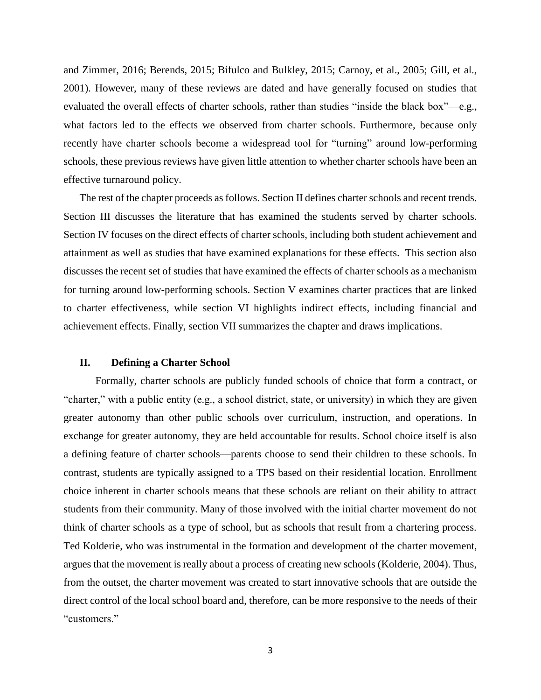and Zimmer, 2016; Berends, 2015; Bifulco and Bulkley, 2015; Carnoy, et al., 2005; Gill, et al., 2001). However, many of these reviews are dated and have generally focused on studies that evaluated the overall effects of charter schools, rather than studies "inside the black box"—e.g., what factors led to the effects we observed from charter schools. Furthermore, because only recently have charter schools become a widespread tool for "turning" around low-performing schools, these previous reviews have given little attention to whether charter schools have been an effective turnaround policy.

The rest of the chapter proceeds as follows. Section II defines charter schools and recent trends. Section III discusses the literature that has examined the students served by charter schools. Section IV focuses on the direct effects of charter schools, including both student achievement and attainment as well as studies that have examined explanations for these effects. This section also discusses the recent set of studies that have examined the effects of charter schools as a mechanism for turning around low-performing schools. Section V examines charter practices that are linked to charter effectiveness, while section VI highlights indirect effects, including financial and achievement effects. Finally, section VII summarizes the chapter and draws implications.

### **II. Defining a Charter School**

Formally, charter schools are publicly funded schools of choice that form a contract, or "charter," with a public entity (e.g., a school district, state, or university) in which they are given greater autonomy than other public schools over curriculum, instruction, and operations. In exchange for greater autonomy, they are held accountable for results. School choice itself is also a defining feature of charter schools—parents choose to send their children to these schools. In contrast, students are typically assigned to a TPS based on their residential location. Enrollment choice inherent in charter schools means that these schools are reliant on their ability to attract students from their community. Many of those involved with the initial charter movement do not think of charter schools as a type of school, but as schools that result from a chartering process. Ted Kolderie, who was instrumental in the formation and development of the charter movement, argues that the movement is really about a process of creating new schools (Kolderie, 2004). Thus, from the outset, the charter movement was created to start innovative schools that are outside the direct control of the local school board and, therefore, can be more responsive to the needs of their "customers."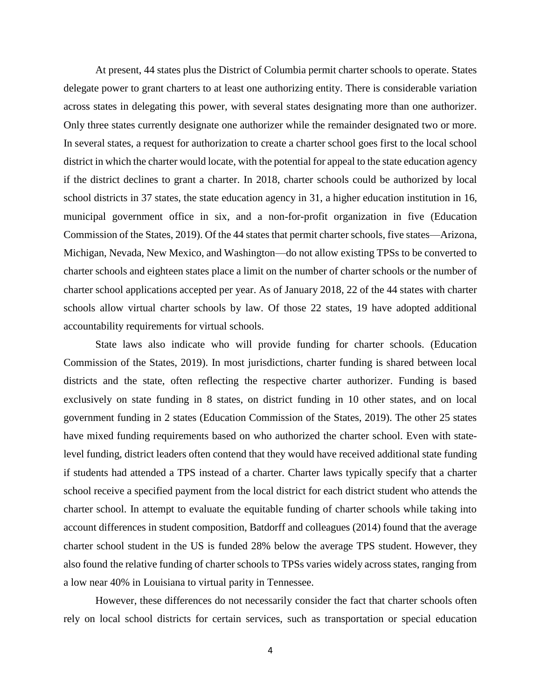At present, 44 states plus the District of Columbia permit charter schools to operate. States delegate power to grant charters to at least one authorizing entity. There is considerable variation across states in delegating this power, with several states designating more than one authorizer. Only three states currently designate one authorizer while the remainder designated two or more. In several states, a request for authorization to create a charter school goes first to the local school district in which the charter would locate, with the potential for appeal to the state education agency if the district declines to grant a charter. In 2018, charter schools could be authorized by local school districts in 37 states, the state education agency in 31, a higher education institution in 16, municipal government office in six, and a non-for-profit organization in five (Education Commission of the States, 2019). Of the 44 states that permit charter schools, five states—Arizona, Michigan, Nevada, New Mexico, and Washington—do not allow existing TPSs to be converted to charter schools and eighteen states place a limit on the number of charter schools or the number of charter school applications accepted per year. As of January 2018, 22 of the 44 states with charter schools allow virtual charter schools by law. Of those 22 states, 19 have adopted additional accountability requirements for virtual schools.

State laws also indicate who will provide funding for charter schools. (Education Commission of the States, 2019). In most jurisdictions, charter funding is shared between local districts and the state, often reflecting the respective charter authorizer. Funding is based exclusively on state funding in 8 states, on district funding in 10 other states, and on local government funding in 2 states (Education Commission of the States, 2019). The other 25 states have mixed funding requirements based on who authorized the charter school. Even with statelevel funding, district leaders often contend that they would have received additional state funding if students had attended a TPS instead of a charter. Charter laws typically specify that a charter school receive a specified payment from the local district for each district student who attends the charter school. In attempt to evaluate the equitable funding of charter schools while taking into account differences in student composition, Batdorff and colleagues (2014) found that the average charter school student in the US is funded 28% below the average TPS student. However, they also found the relative funding of charter schools to TPSs varies widely across states, ranging from a low near 40% in Louisiana to virtual parity in Tennessee.

However, these differences do not necessarily consider the fact that charter schools often rely on local school districts for certain services, such as transportation or special education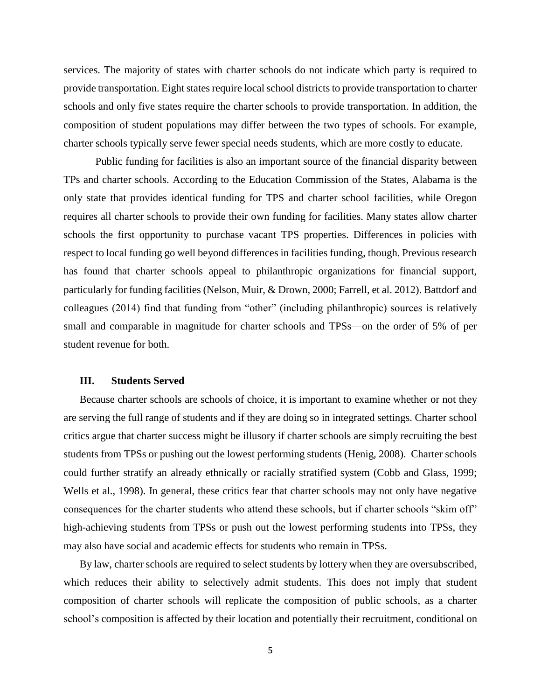services. The majority of states with charter schools do not indicate which party is required to provide transportation. Eight states require local school districts to provide transportation to charter schools and only five states require the charter schools to provide transportation. In addition, the composition of student populations may differ between the two types of schools. For example, charter schools typically serve fewer special needs students, which are more costly to educate.

Public funding for facilities is also an important source of the financial disparity between TPs and charter schools. According to the Education Commission of the States, Alabama is the only state that provides identical funding for TPS and charter school facilities, while Oregon requires all charter schools to provide their own funding for facilities. Many states allow charter schools the first opportunity to purchase vacant TPS properties. Differences in policies with respect to local funding go well beyond differences in facilities funding, though. Previous research has found that charter schools appeal to philanthropic organizations for financial support, particularly for funding facilities (Nelson, Muir, & Drown, 2000; Farrell, et al. 2012). Battdorf and colleagues (2014) find that funding from "other" (including philanthropic) sources is relatively small and comparable in magnitude for charter schools and TPSs—on the order of 5% of per student revenue for both.

#### **III. Students Served**

Because charter schools are schools of choice, it is important to examine whether or not they are serving the full range of students and if they are doing so in integrated settings. Charter school critics argue that charter success might be illusory if charter schools are simply recruiting the best students from TPSs or pushing out the lowest performing students (Henig, 2008). Charter schools could further stratify an already ethnically or racially stratified system (Cobb and Glass, 1999; Wells et al., 1998). In general, these critics fear that charter schools may not only have negative consequences for the charter students who attend these schools, but if charter schools "skim off" high-achieving students from TPSs or push out the lowest performing students into TPSs, they may also have social and academic effects for students who remain in TPSs.

By law, charter schools are required to select students by lottery when they are oversubscribed, which reduces their ability to selectively admit students. This does not imply that student composition of charter schools will replicate the composition of public schools, as a charter school's composition is affected by their location and potentially their recruitment, conditional on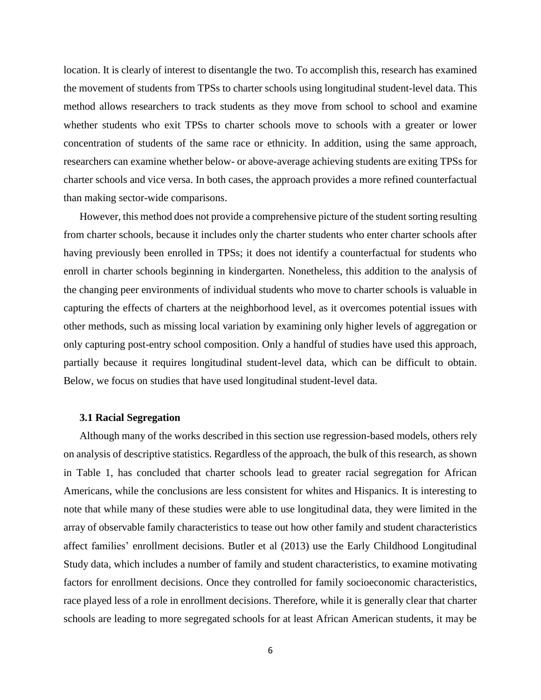location. It is clearly of interest to disentangle the two. To accomplish this, research has examined the movement of students from TPSs to charter schools using longitudinal student-level data. This method allows researchers to track students as they move from school to school and examine whether students who exit TPSs to charter schools move to schools with a greater or lower concentration of students of the same race or ethnicity. In addition, using the same approach, researchers can examine whether below- or above-average achieving students are exiting TPSs for charter schools and vice versa. In both cases, the approach provides a more refined counterfactual than making sector-wide comparisons.

However, this method does not provide a comprehensive picture of the student sorting resulting from charter schools, because it includes only the charter students who enter charter schools after having previously been enrolled in TPSs; it does not identify a counterfactual for students who enroll in charter schools beginning in kindergarten. Nonetheless, this addition to the analysis of the changing peer environments of individual students who move to charter schools is valuable in capturing the effects of charters at the neighborhood level, as it overcomes potential issues with other methods, such as missing local variation by examining only higher levels of aggregation or only capturing post-entry school composition. Only a handful of studies have used this approach, partially because it requires longitudinal student-level data, which can be difficult to obtain. Below, we focus on studies that have used longitudinal student-level data.

#### **3.1 Racial Segregation**

Although many of the works described in this section use regression-based models, others rely on analysis of descriptive statistics. Regardless of the approach, the bulk of this research, as shown in Table 1, has concluded that charter schools lead to greater racial segregation for African Americans, while the conclusions are less consistent for whites and Hispanics. It is interesting to note that while many of these studies were able to use longitudinal data, they were limited in the array of observable family characteristics to tease out how other family and student characteristics affect families' enrollment decisions. Butler et al (2013) use the Early Childhood Longitudinal Study data, which includes a number of family and student characteristics, to examine motivating factors for enrollment decisions. Once they controlled for family socioeconomic characteristics, race played less of a role in enrollment decisions. Therefore, while it is generally clear that charter schools are leading to more segregated schools for at least African American students, it may be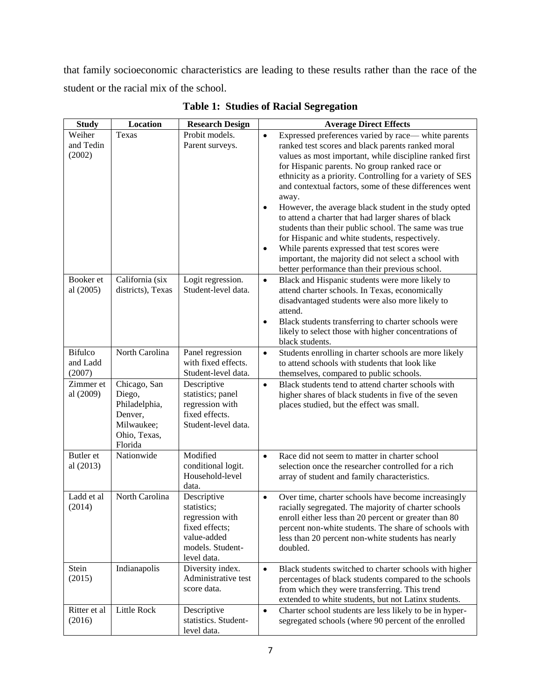that family socioeconomic characteristics are leading to these results rather than the race of the student or the racial mix of the school.

| <b>Study</b>    | Location                | <b>Research Design</b>                   | <b>Average Direct Effects</b>                                                                         |
|-----------------|-------------------------|------------------------------------------|-------------------------------------------------------------------------------------------------------|
| Weiher          | Texas                   | Probit models.                           | Expressed preferences varied by race— white parents<br>$\bullet$                                      |
| and Tedin       |                         | Parent surveys.                          | ranked test scores and black parents ranked moral                                                     |
| (2002)          |                         |                                          | values as most important, while discipline ranked first                                               |
|                 |                         |                                          | for Hispanic parents. No group ranked race or                                                         |
|                 |                         |                                          | ethnicity as a priority. Controlling for a variety of SES                                             |
|                 |                         |                                          | and contextual factors, some of these differences went                                                |
|                 |                         |                                          | away.                                                                                                 |
|                 |                         |                                          | However, the average black student in the study opted<br>$\bullet$                                    |
|                 |                         |                                          | to attend a charter that had larger shares of black                                                   |
|                 |                         |                                          | students than their public school. The same was true                                                  |
|                 |                         |                                          | for Hispanic and white students, respectively.                                                        |
|                 |                         |                                          | While parents expressed that test scores were<br>$\bullet$                                            |
|                 |                         |                                          | important, the majority did not select a school with                                                  |
|                 |                         |                                          | better performance than their previous school.                                                        |
| Booker et       | California (six         | Logit regression.<br>Student-level data. | Black and Hispanic students were more likely to<br>$\bullet$                                          |
| al (2005)       | districts), Texas       |                                          | attend charter schools. In Texas, economically                                                        |
|                 |                         |                                          | disadvantaged students were also more likely to<br>attend.                                            |
|                 |                         |                                          | Black students transferring to charter schools were<br>$\bullet$                                      |
|                 |                         |                                          | likely to select those with higher concentrations of                                                  |
|                 |                         |                                          | black students.                                                                                       |
| <b>Bifulco</b>  | North Carolina          | Panel regression                         | Students enrolling in charter schools are more likely<br>$\bullet$                                    |
| and Ladd        |                         | with fixed effects.                      | to attend schools with students that look like                                                        |
| (2007)          |                         | Student-level data.                      | themselves, compared to public schools.                                                               |
| Zimmer et       | Chicago, San            | Descriptive                              | Black students tend to attend charter schools with<br>$\bullet$                                       |
| al (2009)       | Diego,                  | statistics; panel                        | higher shares of black students in five of the seven                                                  |
|                 | Philadelphia,           | regression with                          | places studied, but the effect was small.                                                             |
|                 | Denver,                 | fixed effects.                           |                                                                                                       |
|                 | Milwaukee;              | Student-level data.                      |                                                                                                       |
|                 | Ohio, Texas,<br>Florida |                                          |                                                                                                       |
| Butler et       | Nationwide              | Modified                                 | Race did not seem to matter in charter school<br>$\bullet$                                            |
| al (2013)       |                         | conditional logit.                       | selection once the researcher controlled for a rich                                                   |
|                 |                         | Household-level                          | array of student and family characteristics.                                                          |
|                 |                         | data.                                    |                                                                                                       |
| Ladd et al      | North Carolina          | Descriptive                              | Over time, charter schools have become increasingly<br>$\bullet$                                      |
| (2014)          |                         | statistics;                              | racially segregated. The majority of charter schools                                                  |
|                 |                         | regression with                          | enroll either less than 20 percent or greater than 80                                                 |
|                 |                         | fixed effects;                           | percent non-white students. The share of schools with                                                 |
|                 |                         | value-added                              | less than 20 percent non-white students has nearly                                                    |
|                 |                         | models. Student-                         | doubled.                                                                                              |
|                 |                         | level data.                              |                                                                                                       |
| Stein<br>(2015) | Indianapolis            | Diversity index.<br>Administrative test  | Black students switched to charter schools with higher<br>$\bullet$                                   |
|                 |                         | score data.                              | percentages of black students compared to the schools                                                 |
|                 |                         |                                          | from which they were transferring. This trend<br>extended to white students, but not Latinx students. |
| Ritter et al    | Little Rock             | Descriptive                              | Charter school students are less likely to be in hyper-<br>$\bullet$                                  |
| (2016)          |                         | statistics. Student-                     | segregated schools (where 90 percent of the enrolled                                                  |
|                 |                         | level data.                              |                                                                                                       |

**Table 1: Studies of Racial Segregation**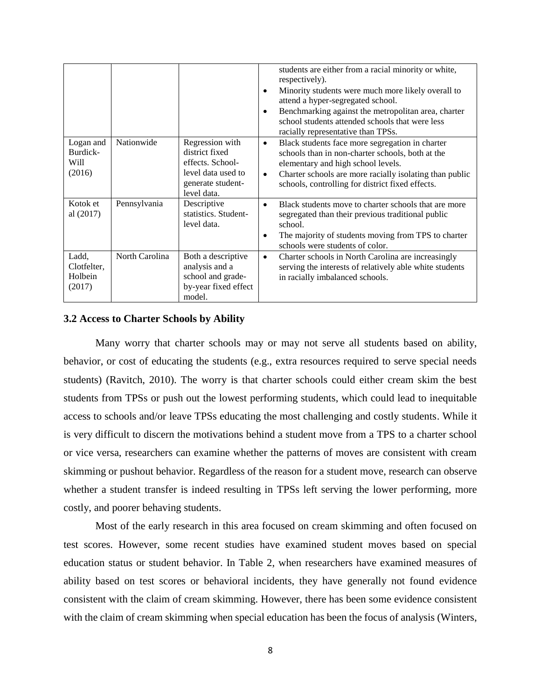|                                           |                |                                                                                                                 | students are either from a racial minority or white,<br>respectively).<br>Minority students were much more likely overall to<br>$\bullet$<br>attend a hyper-segregated school.<br>Benchmarking against the metropolitan area, charter<br>$\bullet$<br>school students attended schools that were less<br>racially representative than TPSs. |
|-------------------------------------------|----------------|-----------------------------------------------------------------------------------------------------------------|---------------------------------------------------------------------------------------------------------------------------------------------------------------------------------------------------------------------------------------------------------------------------------------------------------------------------------------------|
| Logan and<br>Burdick-<br>Will<br>(2016)   | Nationwide     | Regression with<br>district fixed<br>effects. School-<br>level data used to<br>generate student-<br>level data. | Black students face more segregation in charter<br>$\bullet$<br>schools than in non-charter schools, both at the<br>elementary and high school levels.<br>Charter schools are more racially isolating than public<br>$\bullet$<br>schools, controlling for district fixed effects.                                                          |
| Kotok et<br>al $(2017)$                   | Pennsylvania   | Descriptive<br>statistics. Student-<br>level data.                                                              | Black students move to charter schools that are more<br>$\bullet$<br>segregated than their previous traditional public<br>school.<br>The majority of students moving from TPS to charter<br>٠<br>schools were students of color.                                                                                                            |
| Ladd,<br>Clotfelter,<br>Holbein<br>(2017) | North Carolina | Both a descriptive<br>analysis and a<br>school and grade-<br>by-year fixed effect<br>model.                     | Charter schools in North Carolina are increasingly<br>$\bullet$<br>serving the interests of relatively able white students<br>in racially imbalanced schools.                                                                                                                                                                               |

### **3.2 Access to Charter Schools by Ability**

Many worry that charter schools may or may not serve all students based on ability, behavior, or cost of educating the students (e.g., extra resources required to serve special needs students) (Ravitch, 2010). The worry is that charter schools could either cream skim the best students from TPSs or push out the lowest performing students, which could lead to inequitable access to schools and/or leave TPSs educating the most challenging and costly students. While it is very difficult to discern the motivations behind a student move from a TPS to a charter school or vice versa, researchers can examine whether the patterns of moves are consistent with cream skimming or pushout behavior. Regardless of the reason for a student move, research can observe whether a student transfer is indeed resulting in TPSs left serving the lower performing, more costly, and poorer behaving students.

Most of the early research in this area focused on cream skimming and often focused on test scores. However, some recent studies have examined student moves based on special education status or student behavior. In Table 2, when researchers have examined measures of ability based on test scores or behavioral incidents, they have generally not found evidence consistent with the claim of cream skimming. However, there has been some evidence consistent with the claim of cream skimming when special education has been the focus of analysis (Winters,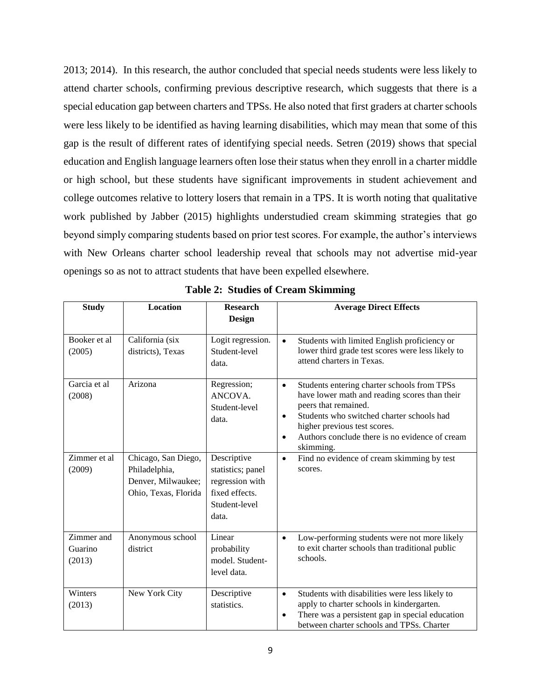2013; 2014). In this research, the author concluded that special needs students were less likely to attend charter schools, confirming previous descriptive research, which suggests that there is a special education gap between charters and TPSs. He also noted that first graders at charter schools were less likely to be identified as having learning disabilities, which may mean that some of this gap is the result of different rates of identifying special needs. Setren (2019) shows that special education and English language learners often lose their status when they enroll in a charter middle or high school, but these students have significant improvements in student achievement and college outcomes relative to lottery losers that remain in a TPS. It is worth noting that qualitative work published by Jabber (2015) highlights understudied cream skimming strategies that go beyond simply comparing students based on prior test scores. For example, the author's interviews with New Orleans charter school leadership reveal that schools may not advertise mid-year openings so as not to attract students that have been expelled elsewhere.

| <b>Study</b>                    | <b>Location</b>                                                                    | <b>Research</b><br><b>Design</b>                                                                | <b>Average Direct Effects</b>                                                                                                                                                                                                                                                                           |
|---------------------------------|------------------------------------------------------------------------------------|-------------------------------------------------------------------------------------------------|---------------------------------------------------------------------------------------------------------------------------------------------------------------------------------------------------------------------------------------------------------------------------------------------------------|
| Booker et al<br>(2005)          | California (six<br>districts), Texas                                               | Logit regression.<br>Student-level<br>data.                                                     | Students with limited English proficiency or<br>$\bullet$<br>lower third grade test scores were less likely to<br>attend charters in Texas.                                                                                                                                                             |
| Garcia et al<br>(2008)          | Arizona                                                                            | Regression;<br>ANCOVA.<br>Student-level<br>data.                                                | Students entering charter schools from TPSs<br>$\bullet$<br>have lower math and reading scores than their<br>peers that remained.<br>Students who switched charter schools had<br>$\bullet$<br>higher previous test scores.<br>Authors conclude there is no evidence of cream<br>$\bullet$<br>skimming. |
| Zimmer et al<br>(2009)          | Chicago, San Diego,<br>Philadelphia,<br>Denver, Milwaukee;<br>Ohio, Texas, Florida | Descriptive<br>statistics; panel<br>regression with<br>fixed effects.<br>Student-level<br>data. | Find no evidence of cream skimming by test<br>$\bullet$<br>scores.                                                                                                                                                                                                                                      |
| Zimmer and<br>Guarino<br>(2013) | Anonymous school<br>district                                                       | Linear<br>probability<br>model. Student-<br>level data.                                         | Low-performing students were not more likely<br>$\bullet$<br>to exit charter schools than traditional public<br>schools.                                                                                                                                                                                |
| Winters<br>(2013)               | New York City                                                                      | Descriptive<br>statistics.                                                                      | Students with disabilities were less likely to<br>$\bullet$<br>apply to charter schools in kindergarten.<br>There was a persistent gap in special education<br>$\bullet$<br>between charter schools and TPSs. Charter                                                                                   |

|  |  |  | <b>Table 2: Studies of Cream Skimming</b> |
|--|--|--|-------------------------------------------|
|--|--|--|-------------------------------------------|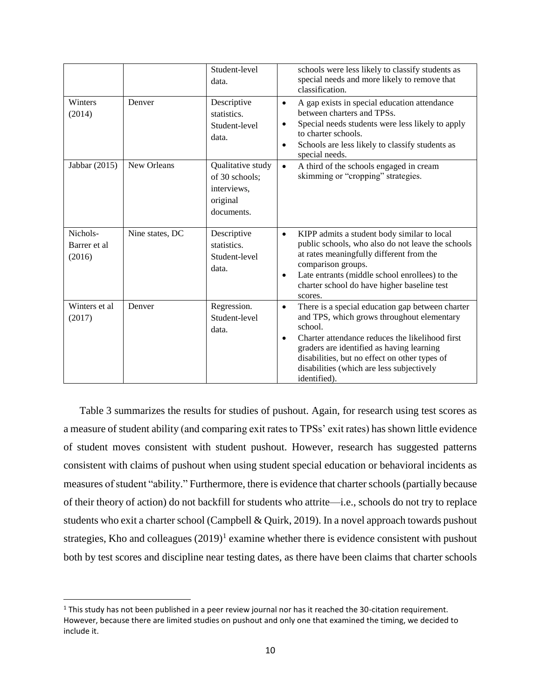|                                    |                 | Student-level<br>data.                                                       | schools were less likely to classify students as<br>special needs and more likely to remove that<br>classification.                                                                                                                                                                                                                               |
|------------------------------------|-----------------|------------------------------------------------------------------------------|---------------------------------------------------------------------------------------------------------------------------------------------------------------------------------------------------------------------------------------------------------------------------------------------------------------------------------------------------|
| Winters<br>(2014)                  | Denver          | Descriptive<br>statistics.<br>Student-level<br>data.                         | A gap exists in special education attendance<br>$\bullet$<br>between charters and TPSs.<br>Special needs students were less likely to apply<br>$\bullet$<br>to charter schools.<br>Schools are less likely to classify students as<br>$\bullet$<br>special needs.                                                                                 |
| Jabbar (2015)                      | New Orleans     | Qualitative study<br>of 30 schools;<br>interviews.<br>original<br>documents. | A third of the schools engaged in cream<br>$\bullet$<br>skimming or "cropping" strategies.                                                                                                                                                                                                                                                        |
| Nichols-<br>Barrer et al<br>(2016) | Nine states, DC | Descriptive<br>statistics.<br>Student-level<br>data.                         | KIPP admits a student body similar to local<br>$\bullet$<br>public schools, who also do not leave the schools<br>at rates meaningfully different from the<br>comparison groups.<br>Late entrants (middle school enrollees) to the<br>$\bullet$<br>charter school do have higher baseline test<br>scores.                                          |
| Winters et al<br>(2017)            | Denver          | Regression.<br>Student-level<br>data.                                        | There is a special education gap between charter<br>$\bullet$<br>and TPS, which grows throughout elementary<br>school.<br>Charter attendance reduces the likelihood first<br>$\bullet$<br>graders are identified as having learning<br>disabilities, but no effect on other types of<br>disabilities (which are less subjectively<br>identified). |

Table 3 summarizes the results for studies of pushout. Again, for research using test scores as a measure of student ability (and comparing exit rates to TPSs' exit rates) has shown little evidence of student moves consistent with student pushout. However, research has suggested patterns consistent with claims of pushout when using student special education or behavioral incidents as measures of student "ability." Furthermore, there is evidence that charter schools (partially because of their theory of action) do not backfill for students who attrite—i.e., schools do not try to replace students who exit a charter school (Campbell & Quirk, 2019). In a novel approach towards pushout strategies, Kho and colleagues  $(2019)^1$  examine whether there is evidence consistent with pushout both by test scores and discipline near testing dates, as there have been claims that charter schools

 $\overline{a}$ 

 $1$  This study has not been published in a peer review journal nor has it reached the 30-citation requirement. However, because there are limited studies on pushout and only one that examined the timing, we decided to include it.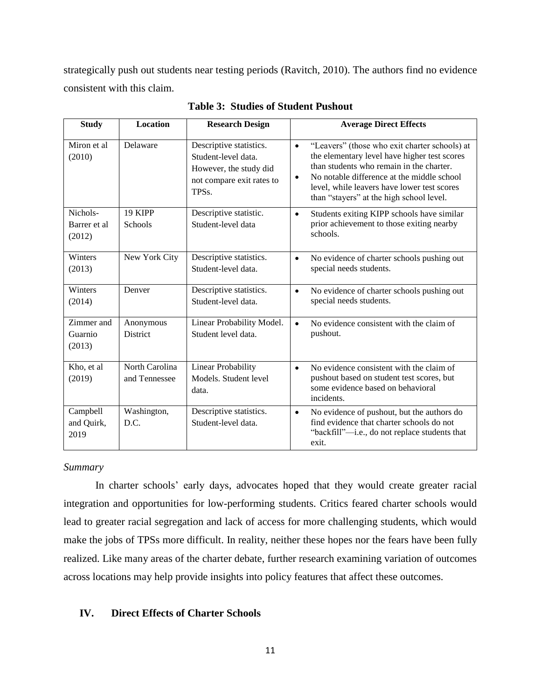strategically push out students near testing periods (Ravitch, 2010). The authors find no evidence consistent with this claim.

| <b>Study</b>                       | Location                        | <b>Research Design</b>                                                                                                      | <b>Average Direct Effects</b>                                                                                                                                                                                                                                                                                |
|------------------------------------|---------------------------------|-----------------------------------------------------------------------------------------------------------------------------|--------------------------------------------------------------------------------------------------------------------------------------------------------------------------------------------------------------------------------------------------------------------------------------------------------------|
| Miron et al<br>(2010)              | Delaware                        | Descriptive statistics.<br>Student-level data.<br>However, the study did<br>not compare exit rates to<br>TPS <sub>s</sub> . | "Leavers" (those who exit charter schools) at<br>$\bullet$<br>the elementary level have higher test scores<br>than students who remain in the charter.<br>No notable difference at the middle school<br>$\bullet$<br>level, while leavers have lower test scores<br>than "stayers" at the high school level. |
| Nichols-<br>Barrer et al<br>(2012) | 19 KIPP<br><b>Schools</b>       | Descriptive statistic.<br>Student-level data                                                                                | Students exiting KIPP schools have similar<br>$\bullet$<br>prior achievement to those exiting nearby<br>schools.                                                                                                                                                                                             |
| Winters<br>(2013)                  | New York City                   | Descriptive statistics.<br>Student-level data.                                                                              | No evidence of charter schools pushing out<br>$\bullet$<br>special needs students.                                                                                                                                                                                                                           |
| Winters<br>(2014)                  | Denver                          | Descriptive statistics.<br>Student-level data.                                                                              | No evidence of charter schools pushing out<br>$\bullet$<br>special needs students.                                                                                                                                                                                                                           |
| Zimmer and<br>Guarnio<br>(2013)    | Anonymous<br><b>District</b>    | Linear Probability Model.<br>Student level data.                                                                            | No evidence consistent with the claim of<br>$\bullet$<br>pushout.                                                                                                                                                                                                                                            |
| Kho, et al<br>(2019)               | North Carolina<br>and Tennessee | <b>Linear Probability</b><br>Models. Student level<br>data.                                                                 | No evidence consistent with the claim of<br>$\bullet$<br>pushout based on student test scores, but<br>some evidence based on behavioral<br>incidents.                                                                                                                                                        |
| Campbell<br>and Quirk,<br>2019     | Washington,<br>D.C.             | Descriptive statistics.<br>Student-level data.                                                                              | No evidence of pushout, but the authors do<br>$\bullet$<br>find evidence that charter schools do not<br>"backfill"-i.e., do not replace students that<br>exit.                                                                                                                                               |

**Table 3: Studies of Student Pushout**

#### *Summary*

In charter schools' early days, advocates hoped that they would create greater racial integration and opportunities for low-performing students. Critics feared charter schools would lead to greater racial segregation and lack of access for more challenging students, which would make the jobs of TPSs more difficult. In reality, neither these hopes nor the fears have been fully realized. Like many areas of the charter debate, further research examining variation of outcomes across locations may help provide insights into policy features that affect these outcomes.

# **IV. Direct Effects of Charter Schools**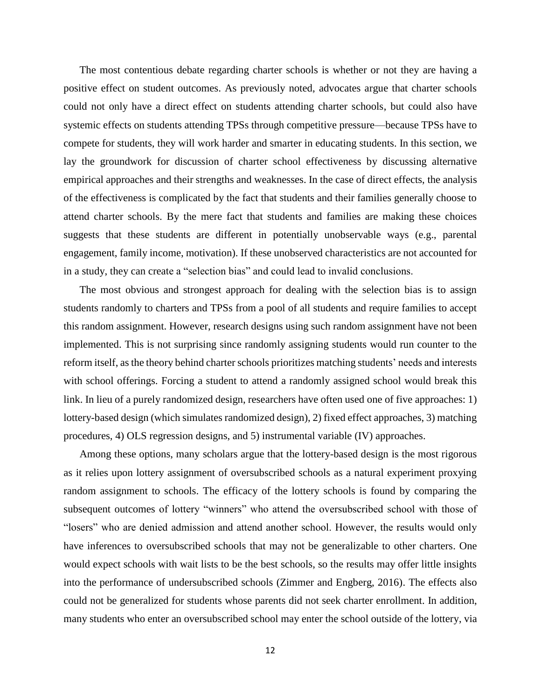The most contentious debate regarding charter schools is whether or not they are having a positive effect on student outcomes. As previously noted, advocates argue that charter schools could not only have a direct effect on students attending charter schools, but could also have systemic effects on students attending TPSs through competitive pressure—because TPSs have to compete for students, they will work harder and smarter in educating students. In this section, we lay the groundwork for discussion of charter school effectiveness by discussing alternative empirical approaches and their strengths and weaknesses. In the case of direct effects, the analysis of the effectiveness is complicated by the fact that students and their families generally choose to attend charter schools. By the mere fact that students and families are making these choices suggests that these students are different in potentially unobservable ways (e.g., parental engagement, family income, motivation). If these unobserved characteristics are not accounted for in a study, they can create a "selection bias" and could lead to invalid conclusions.

The most obvious and strongest approach for dealing with the selection bias is to assign students randomly to charters and TPSs from a pool of all students and require families to accept this random assignment. However, research designs using such random assignment have not been implemented. This is not surprising since randomly assigning students would run counter to the reform itself, as the theory behind charter schools prioritizes matching students' needs and interests with school offerings. Forcing a student to attend a randomly assigned school would break this link. In lieu of a purely randomized design, researchers have often used one of five approaches: 1) lottery-based design (which simulates randomized design), 2) fixed effect approaches, 3) matching procedures, 4) OLS regression designs, and 5) instrumental variable (IV) approaches.

Among these options, many scholars argue that the lottery-based design is the most rigorous as it relies upon lottery assignment of oversubscribed schools as a natural experiment proxying random assignment to schools. The efficacy of the lottery schools is found by comparing the subsequent outcomes of lottery "winners" who attend the oversubscribed school with those of "losers" who are denied admission and attend another school. However, the results would only have inferences to oversubscribed schools that may not be generalizable to other charters. One would expect schools with wait lists to be the best schools, so the results may offer little insights into the performance of undersubscribed schools (Zimmer and Engberg, 2016). The effects also could not be generalized for students whose parents did not seek charter enrollment. In addition, many students who enter an oversubscribed school may enter the school outside of the lottery, via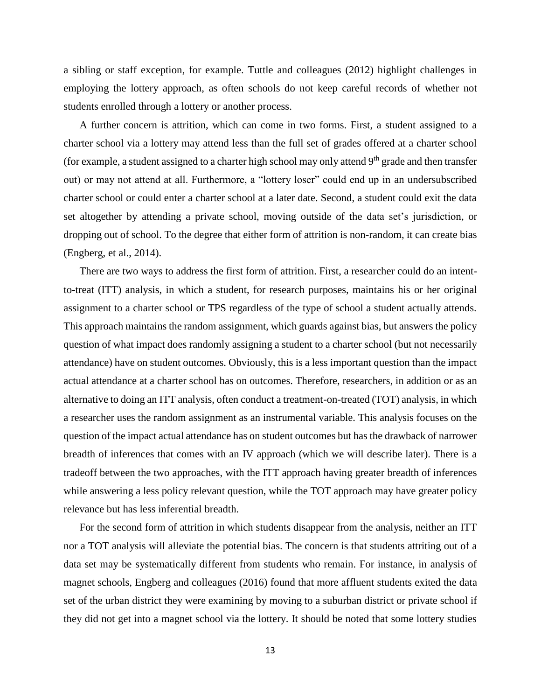a sibling or staff exception, for example. Tuttle and colleagues (2012) highlight challenges in employing the lottery approach, as often schools do not keep careful records of whether not students enrolled through a lottery or another process.

A further concern is attrition, which can come in two forms. First, a student assigned to a charter school via a lottery may attend less than the full set of grades offered at a charter school (for example, a student assigned to a charter high school may only attend  $9<sup>th</sup>$  grade and then transfer out) or may not attend at all. Furthermore, a "lottery loser" could end up in an undersubscribed charter school or could enter a charter school at a later date. Second, a student could exit the data set altogether by attending a private school, moving outside of the data set's jurisdiction, or dropping out of school. To the degree that either form of attrition is non-random, it can create bias (Engberg, et al., 2014).

There are two ways to address the first form of attrition. First, a researcher could do an intentto-treat (ITT) analysis, in which a student, for research purposes, maintains his or her original assignment to a charter school or TPS regardless of the type of school a student actually attends. This approach maintains the random assignment, which guards against bias, but answers the policy question of what impact does randomly assigning a student to a charter school (but not necessarily attendance) have on student outcomes. Obviously, this is a less important question than the impact actual attendance at a charter school has on outcomes. Therefore, researchers, in addition or as an alternative to doing an ITT analysis, often conduct a treatment-on-treated (TOT) analysis, in which a researcher uses the random assignment as an instrumental variable. This analysis focuses on the question of the impact actual attendance has on student outcomes but has the drawback of narrower breadth of inferences that comes with an IV approach (which we will describe later). There is a tradeoff between the two approaches, with the ITT approach having greater breadth of inferences while answering a less policy relevant question, while the TOT approach may have greater policy relevance but has less inferential breadth.

For the second form of attrition in which students disappear from the analysis, neither an ITT nor a TOT analysis will alleviate the potential bias. The concern is that students attriting out of a data set may be systematically different from students who remain. For instance, in analysis of magnet schools, Engberg and colleagues (2016) found that more affluent students exited the data set of the urban district they were examining by moving to a suburban district or private school if they did not get into a magnet school via the lottery. It should be noted that some lottery studies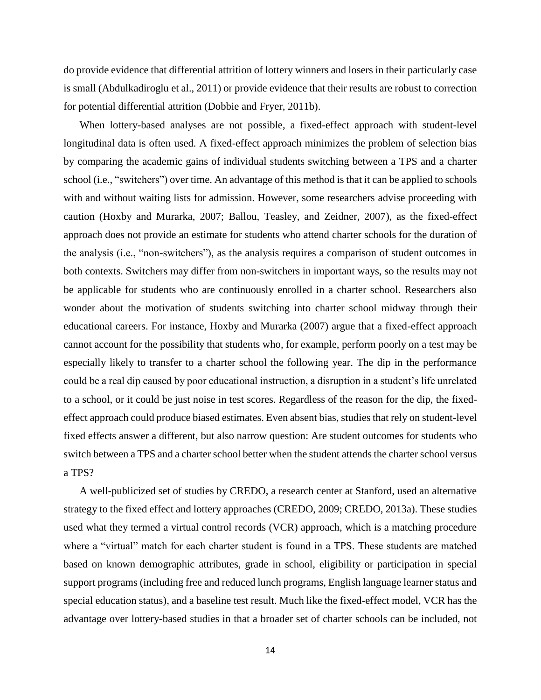do provide evidence that differential attrition of lottery winners and losers in their particularly case is small (Abdulkadiroglu et al., 2011) or provide evidence that their results are robust to correction for potential differential attrition (Dobbie and Fryer, 2011b).

When lottery-based analyses are not possible, a fixed-effect approach with student-level longitudinal data is often used. A fixed-effect approach minimizes the problem of selection bias by comparing the academic gains of individual students switching between a TPS and a charter school (i.e., "switchers") over time. An advantage of this method is that it can be applied to schools with and without waiting lists for admission. However, some researchers advise proceeding with caution (Hoxby and Murarka, 2007; Ballou, Teasley, and Zeidner, 2007), as the fixed-effect approach does not provide an estimate for students who attend charter schools for the duration of the analysis (i.e., "non-switchers"), as the analysis requires a comparison of student outcomes in both contexts. Switchers may differ from non-switchers in important ways, so the results may not be applicable for students who are continuously enrolled in a charter school. Researchers also wonder about the motivation of students switching into charter school midway through their educational careers. For instance, Hoxby and Murarka (2007) argue that a fixed-effect approach cannot account for the possibility that students who, for example, perform poorly on a test may be especially likely to transfer to a charter school the following year. The dip in the performance could be a real dip caused by poor educational instruction, a disruption in a student's life unrelated to a school, or it could be just noise in test scores. Regardless of the reason for the dip, the fixedeffect approach could produce biased estimates. Even absent bias, studies that rely on student-level fixed effects answer a different, but also narrow question: Are student outcomes for students who switch between a TPS and a charter school better when the student attends the charter school versus a TPS?

A well-publicized set of studies by CREDO, a research center at Stanford, used an alternative strategy to the fixed effect and lottery approaches (CREDO, 2009; CREDO, 2013a). These studies used what they termed a virtual control records (VCR) approach, which is a matching procedure where a "virtual" match for each charter student is found in a TPS. These students are matched based on known demographic attributes, grade in school, eligibility or participation in special support programs (including free and reduced lunch programs, English language learner status and special education status), and a baseline test result. Much like the fixed-effect model, VCR has the advantage over lottery-based studies in that a broader set of charter schools can be included, not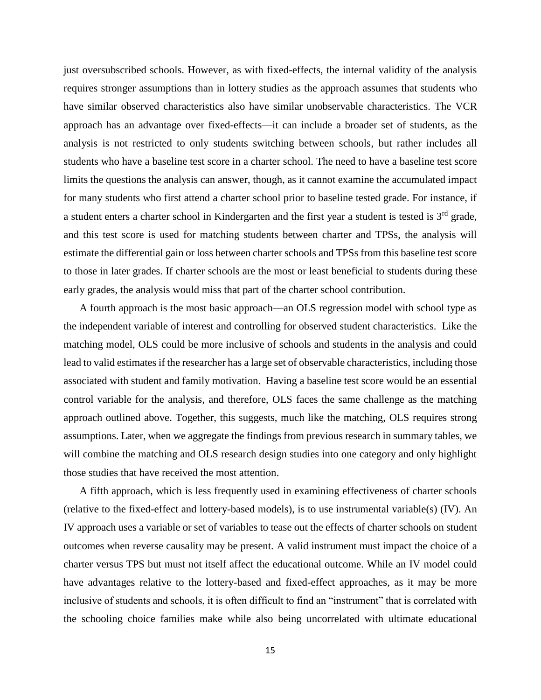just oversubscribed schools. However, as with fixed-effects, the internal validity of the analysis requires stronger assumptions than in lottery studies as the approach assumes that students who have similar observed characteristics also have similar unobservable characteristics. The VCR approach has an advantage over fixed-effects—it can include a broader set of students, as the analysis is not restricted to only students switching between schools, but rather includes all students who have a baseline test score in a charter school. The need to have a baseline test score limits the questions the analysis can answer, though, as it cannot examine the accumulated impact for many students who first attend a charter school prior to baseline tested grade. For instance, if a student enters a charter school in Kindergarten and the first year a student is tested is 3<sup>rd</sup> grade, and this test score is used for matching students between charter and TPSs, the analysis will estimate the differential gain or loss between charter schools and TPSs from this baseline test score to those in later grades. If charter schools are the most or least beneficial to students during these early grades, the analysis would miss that part of the charter school contribution.

A fourth approach is the most basic approach—an OLS regression model with school type as the independent variable of interest and controlling for observed student characteristics. Like the matching model, OLS could be more inclusive of schools and students in the analysis and could lead to valid estimates if the researcher has a large set of observable characteristics, including those associated with student and family motivation. Having a baseline test score would be an essential control variable for the analysis, and therefore, OLS faces the same challenge as the matching approach outlined above. Together, this suggests, much like the matching, OLS requires strong assumptions. Later, when we aggregate the findings from previous research in summary tables, we will combine the matching and OLS research design studies into one category and only highlight those studies that have received the most attention.

A fifth approach, which is less frequently used in examining effectiveness of charter schools (relative to the fixed-effect and lottery-based models), is to use instrumental variable(s) (IV). An IV approach uses a variable or set of variables to tease out the effects of charter schools on student outcomes when reverse causality may be present. A valid instrument must impact the choice of a charter versus TPS but must not itself affect the educational outcome. While an IV model could have advantages relative to the lottery-based and fixed-effect approaches, as it may be more inclusive of students and schools, it is often difficult to find an "instrument" that is correlated with the schooling choice families make while also being uncorrelated with ultimate educational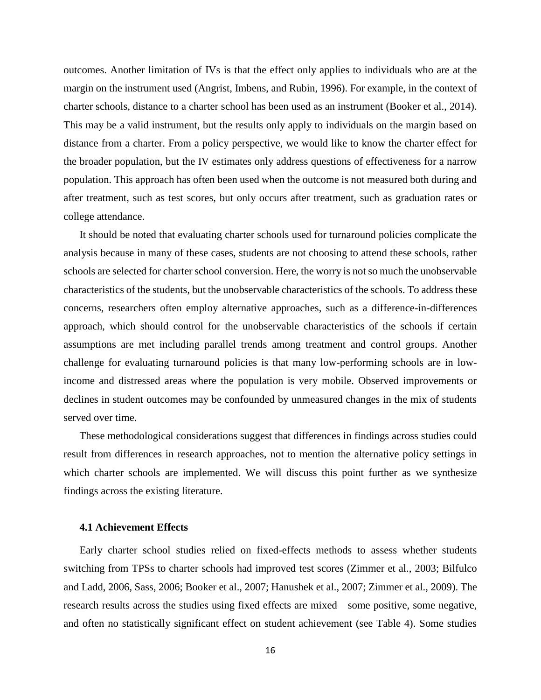outcomes. Another limitation of IVs is that the effect only applies to individuals who are at the margin on the instrument used (Angrist, Imbens, and Rubin, 1996). For example, in the context of charter schools, distance to a charter school has been used as an instrument (Booker et al., 2014). This may be a valid instrument, but the results only apply to individuals on the margin based on distance from a charter. From a policy perspective, we would like to know the charter effect for the broader population, but the IV estimates only address questions of effectiveness for a narrow population. This approach has often been used when the outcome is not measured both during and after treatment, such as test scores, but only occurs after treatment, such as graduation rates or college attendance.

It should be noted that evaluating charter schools used for turnaround policies complicate the analysis because in many of these cases, students are not choosing to attend these schools, rather schools are selected for charter school conversion. Here, the worry is not so much the unobservable characteristics of the students, but the unobservable characteristics of the schools. To address these concerns, researchers often employ alternative approaches, such as a difference-in-differences approach, which should control for the unobservable characteristics of the schools if certain assumptions are met including parallel trends among treatment and control groups. Another challenge for evaluating turnaround policies is that many low-performing schools are in lowincome and distressed areas where the population is very mobile. Observed improvements or declines in student outcomes may be confounded by unmeasured changes in the mix of students served over time.

These methodological considerations suggest that differences in findings across studies could result from differences in research approaches, not to mention the alternative policy settings in which charter schools are implemented. We will discuss this point further as we synthesize findings across the existing literature.

#### **4.1 Achievement Effects**

Early charter school studies relied on fixed-effects methods to assess whether students switching from TPSs to charter schools had improved test scores (Zimmer et al., 2003; Bilfulco and Ladd, 2006, Sass, 2006; Booker et al., 2007; Hanushek et al., 2007; Zimmer et al., 2009). The research results across the studies using fixed effects are mixed—some positive, some negative, and often no statistically significant effect on student achievement (see Table 4). Some studies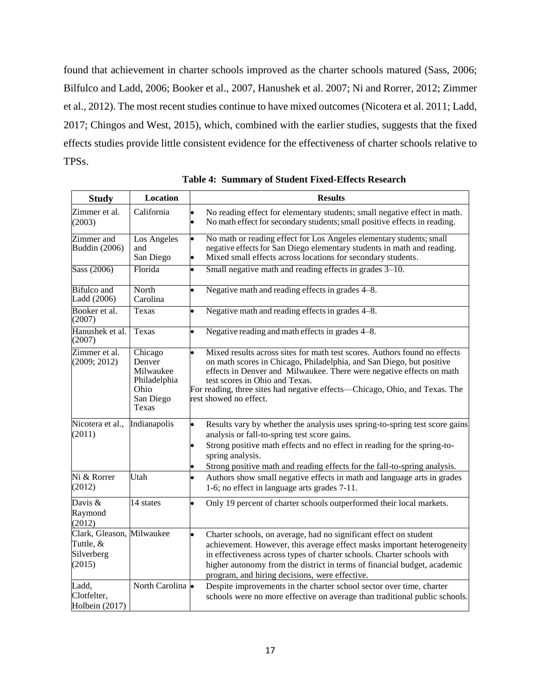found that achievement in charter schools improved as the charter schools matured (Sass, 2006; Bilfulco and Ladd, 2006; Booker et al., 2007, Hanushek et al. 2007; Ni and Rorrer, 2012; Zimmer et al., 2012). The most recent studies continue to have mixed outcomes (Nicotera et al. 2011; Ladd, 2017; Chingos and West, 2015), which, combined with the earlier studies, suggests that the fixed effects studies provide little consistent evidence for the effectiveness of charter schools relative to TPSs.

| <b>Study</b>                                                   | <b>Location</b>                                                              | <b>Results</b>                                                                                                                                                                                                                                                                                                                                                       |
|----------------------------------------------------------------|------------------------------------------------------------------------------|----------------------------------------------------------------------------------------------------------------------------------------------------------------------------------------------------------------------------------------------------------------------------------------------------------------------------------------------------------------------|
| Zimmer et al.<br>(2003)                                        | California                                                                   | No reading effect for elementary students; small negative effect in math.<br>۱.<br>No math effect for secondary students; small positive effects in reading.                                                                                                                                                                                                         |
| Zimmer and<br><b>Buddin</b> (2006)                             | <b>Los Angeles</b><br>and<br>San Diego                                       | No math or reading effect for Los Angeles elementary students; small<br>$\bullet$<br>negative effects for San Diego elementary students in math and reading.<br>Mixed small effects across locations for secondary students.                                                                                                                                         |
| Sass (2006)                                                    | Florida                                                                      | Small negative math and reading effects in grades 3-10.<br>$\bullet$                                                                                                                                                                                                                                                                                                 |
| <b>Bifulco</b> and<br>Ladd (2006)                              | North<br>Carolina                                                            | Negative math and reading effects in grades 4–8.                                                                                                                                                                                                                                                                                                                     |
| Booker et al.<br>(2007)                                        | Texas                                                                        | Negative math and reading effects in grades 4–8.<br>$\bullet$                                                                                                                                                                                                                                                                                                        |
| Hanushek et al.<br>(2007)                                      | Texas                                                                        | Negative reading and math effects in grades 4–8.<br>$\bullet$                                                                                                                                                                                                                                                                                                        |
| Zimmer et al.<br>(2009; 2012)                                  | Chicago<br>Denver<br>Milwaukee<br>Philadelphia<br>Ohio<br>San Diego<br>Texas | Mixed results across sites for math test scores. Authors found no effects<br>on math scores in Chicago, Philadelphia, and San Diego, but positive<br>effects in Denver and Milwaukee. There were negative effects on math<br>test scores in Ohio and Texas.<br>For reading, three sites had negative effects—Chicago, Ohio, and Texas. The<br>rest showed no effect. |
| Nicotera et al.,<br>(2011)                                     | Indianapolis                                                                 | Results vary by whether the analysis uses spring-to-spring test score gains<br>analysis or fall-to-spring test score gains.<br>Strong positive math effects and no effect in reading for the spring-to-<br>spring analysis.<br>Strong positive math and reading effects for the fall-to-spring analysis.<br>$\bullet$                                                |
| Ni & Rorrer<br>(2012)                                          | Utah                                                                         | Authors show small negative effects in math and language arts in grades<br>1-6; no effect in language arts grades 7-11.                                                                                                                                                                                                                                              |
| Davis &<br>Raymond<br>(2012)                                   | 14 states                                                                    | Only 19 percent of charter schools outperformed their local markets.<br>$\bullet$                                                                                                                                                                                                                                                                                    |
| Clark, Gleason, Milwaukee<br>Tuttle, &<br>Silverberg<br>(2015) |                                                                              | Charter schools, on average, had no significant effect on student<br>achievement. However, this average effect masks important heterogeneity<br>in effectiveness across types of charter schools. Charter schools with<br>higher autonomy from the district in terms of financial budget, academic<br>program, and hiring decisions, were effective.                 |
| Ladd,<br>Clotfelter,<br><b>Holbein</b> (2017)                  | North Carolina •                                                             | Despite improvements in the charter school sector over time, charter<br>schools were no more effective on average than traditional public schools.                                                                                                                                                                                                                   |

**Table 4: Summary of Student Fixed-Effects Research**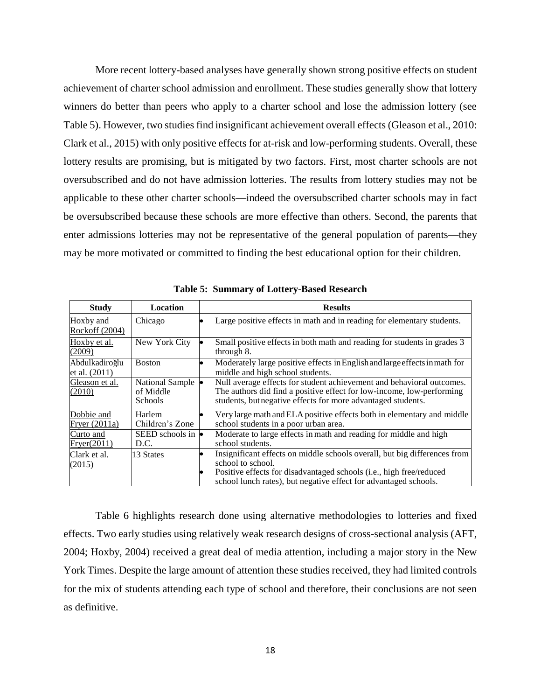More recent lottery-based analyses have generally shown strong positive effects on student achievement of charter school admission and enrollment. These studies generally show that lottery winners do better than peers who apply to a charter school and lose the admission lottery (see Table 5). However, two studies find insignificant achievement overall effects (Gleason et al., 2010: Clark et al., 2015) with only positive effects for at-risk and low-performing students. Overall, these lottery results are promising, but is mitigated by two factors. First, most charter schools are not oversubscribed and do not have admission lotteries. The results from lottery studies may not be applicable to these other charter schools—indeed the oversubscribed charter schools may in fact be oversubscribed because these schools are more effective than others. Second, the parents that enter admissions lotteries may not be representative of the general population of parents—they may be more motivated or committed to finding the best educational option for their children.

| <b>Study</b>                    | Location                                         | <b>Results</b>                                                                                                                                                                                                                            |
|---------------------------------|--------------------------------------------------|-------------------------------------------------------------------------------------------------------------------------------------------------------------------------------------------------------------------------------------------|
| Hoxby and<br>Rockoff (2004)     | Chicago                                          | Large positive effects in math and in reading for elementary students.                                                                                                                                                                    |
| Hoxby et al.<br>(2009)          | New York City                                    | Small positive effects in both math and reading for students in grades 3<br>through 8.                                                                                                                                                    |
| Abdulkadiroğlu<br>et al. (2011) | <b>Boston</b>                                    | Moderately large positive effects in English and large effects in math for<br>middle and high school students.                                                                                                                            |
| Gleason et al.<br>(2010)        | National Sample •<br>of Middle<br><b>Schools</b> | Null average effects for student achievement and behavioral outcomes.<br>The authors did find a positive effect for low-income, low-performing<br>students, but negative effects for more advantaged students.                            |
| Dobbie and<br>Fryer $(2011a)$   | Harlem<br>Children's Zone                        | Very large math and ELA positive effects both in elementary and middle<br>school students in a poor urban area.                                                                                                                           |
| Curto and<br>Fryer(2011)        | SEED schools in $\bullet$<br>D.C.                | Moderate to large effects in math and reading for middle and high<br>school students.                                                                                                                                                     |
| Clark et al.<br>(2015)          | 13 States                                        | Insignificant effects on middle schools overall, but big differences from<br>school to school.<br>Positive effects for disadvantaged schools (i.e., high free/reduced<br>school lunch rates), but negative effect for advantaged schools. |

**Table 5: Summary of Lottery-Based Research**

Table 6 highlights research done using alternative methodologies to lotteries and fixed effects. Two early studies using relatively weak research designs of cross-sectional analysis (AFT, 2004; Hoxby, 2004) received a great deal of media attention, including a major story in the New York Times. Despite the large amount of attention these studies received, they had limited controls for the mix of students attending each type of school and therefore, their conclusions are not seen as definitive.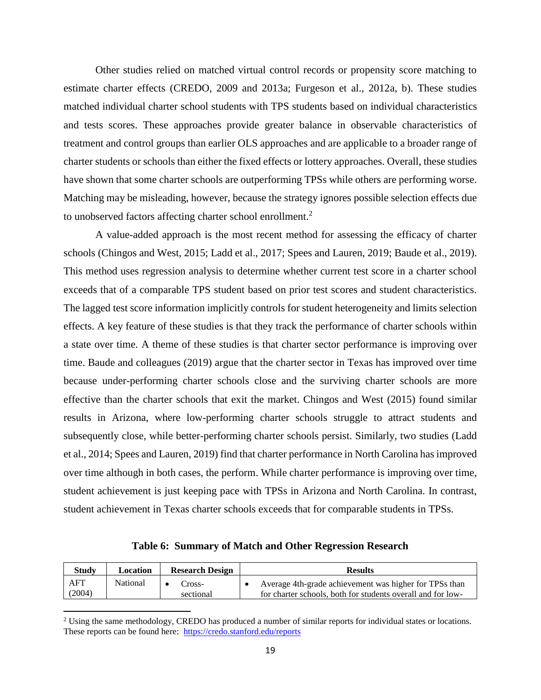Other studies relied on matched virtual control records or propensity score matching to estimate charter effects (CREDO, 2009 and 2013a; Furgeson et al., 2012a, b). These studies matched individual charter school students with TPS students based on individual characteristics and tests scores. These approaches provide greater balance in observable characteristics of treatment and control groups than earlier OLS approaches and are applicable to a broader range of charter students or schools than either the fixed effects or lottery approaches. Overall, these studies have shown that some charter schools are outperforming TPSs while others are performing worse. Matching may be misleading, however, because the strategy ignores possible selection effects due to unobserved factors affecting charter school enrollment.<sup>2</sup>

A value-added approach is the most recent method for assessing the efficacy of charter schools (Chingos and West, 2015; Ladd et al., 2017; Spees and Lauren, 2019; Baude et al., 2019). This method uses regression analysis to determine whether current test score in a charter school exceeds that of a comparable TPS student based on prior test scores and student characteristics. The lagged test score information implicitly controls for student heterogeneity and limits selection effects. A key feature of these studies is that they track the performance of charter schools within a state over time. A theme of these studies is that charter sector performance is improving over time. Baude and colleagues (2019) argue that the charter sector in Texas has improved over time because under-performing charter schools close and the surviving charter schools are more effective than the charter schools that exit the market. Chingos and West (2015) found similar results in Arizona, where low-performing charter schools struggle to attract students and subsequently close, while better-performing charter schools persist. Similarly, two studies (Ladd et al., 2014; Spees and Lauren, 2019) find that charter performance in North Carolina has improved over time although in both cases, the perform. While charter performance is improving over time, student achievement is just keeping pace with TPSs in Arizona and North Carolina. In contrast, student achievement in Texas charter schools exceeds that for comparable students in TPSs.

**Table 6: Summary of Match and Other Regression Research**

| <b>Study</b>  | Location | <b>Research Design</b> | <b>Results</b>                                                                                                        |
|---------------|----------|------------------------|-----------------------------------------------------------------------------------------------------------------------|
| AFT<br>(2004) | National | ross-<br>sectional     | Average 4th-grade achievement was higher for TPSs than<br>for charter schools, both for students overall and for low- |

<sup>&</sup>lt;sup>2</sup> Using the same methodology, CREDO has produced a number of similar reports for individual states or locations. These reports can be found here: <https://credo.stanford.edu/reports>

 $\overline{a}$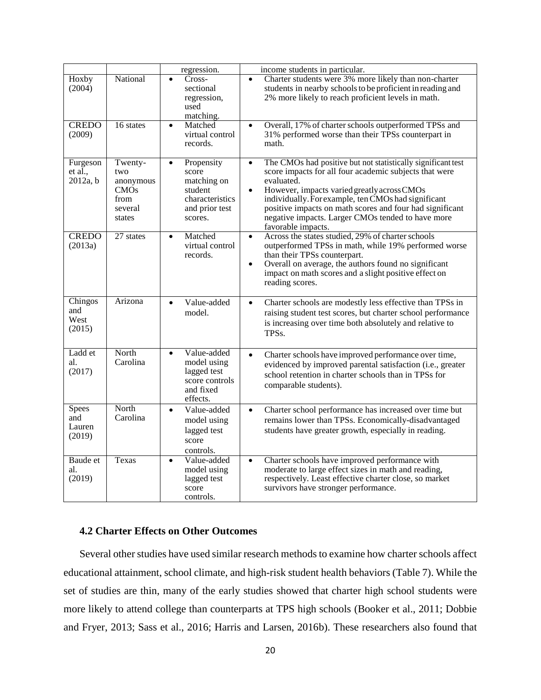|                                         |                                                                  | regression.                                                                                                | income students in particular.                                                                                                                                                                                                                                                                                                                                                                              |
|-----------------------------------------|------------------------------------------------------------------|------------------------------------------------------------------------------------------------------------|-------------------------------------------------------------------------------------------------------------------------------------------------------------------------------------------------------------------------------------------------------------------------------------------------------------------------------------------------------------------------------------------------------------|
| Hoxby<br>(2004)                         | National                                                         | Cross-<br>$\bullet$<br>sectional<br>regression,<br>used<br>matching.                                       | Charter students were 3% more likely than non-charter<br>$\bullet$<br>students in nearby schools to be proficient in reading and<br>2% more likely to reach proficient levels in math.                                                                                                                                                                                                                      |
| <b>CREDO</b><br>(2009)                  | 16 states                                                        | Matched<br>$\bullet$<br>virtual control<br>records.                                                        | Overall, 17% of charter schools outperformed TPSs and<br>$\bullet$<br>31% performed worse than their TPSs counterpart in<br>math.                                                                                                                                                                                                                                                                           |
| Furgeson<br>et al.,<br>2012a, b         | Twenty-<br>two<br>anonymous<br>CMOs<br>from<br>several<br>states | Propensity<br>$\bullet$<br>score<br>matching on<br>student<br>characteristics<br>and prior test<br>scores. | The CMOs had positive but not statistically significant test<br>$\bullet$<br>score impacts for all four academic subjects that were<br>evaluated.<br>However, impacts varied greatly across CMOs<br>$\bullet$<br>individually. For example, ten CMOs had significant<br>positive impacts on math scores and four had significant<br>negative impacts. Larger CMOs tended to have more<br>favorable impacts. |
| <b>CREDO</b><br>(2013a)                 | 27 states                                                        | Matched<br>$\bullet$<br>virtual control<br>records.                                                        | Across the states studied, 29% of charter schools<br>$\bullet$<br>outperformed TPSs in math, while 19% performed worse<br>than their TPSs counterpart.<br>Overall on average, the authors found no significant<br>$\bullet$<br>impact on math scores and a slight positive effect on<br>reading scores.                                                                                                     |
| Chingos<br>and<br>West<br>(2015)        | Arizona                                                          | Value-added<br>$\bullet$<br>model.                                                                         | Charter schools are modestly less effective than TPSs in<br>$\bullet$<br>raising student test scores, but charter school performance<br>is increasing over time both absolutely and relative to<br>TPSs.                                                                                                                                                                                                    |
| Ladd et<br>al.<br>(2017)                | North<br>Carolina                                                | Value-added<br>$\bullet$<br>model using<br>lagged test<br>score controls<br>and fixed<br>effects.          | Charter schools have improved performance over time,<br>$\bullet$<br>evidenced by improved parental satisfaction (i.e., greater<br>school retention in charter schools than in TPSs for<br>comparable students).                                                                                                                                                                                            |
| <b>Spees</b><br>and<br>Lauren<br>(2019) | North<br>Carolina                                                | Value-added<br>$\bullet$<br>model using<br>lagged test<br>score<br>controls.                               | Charter school performance has increased over time but<br>$\bullet$<br>remains lower than TPSs. Economically-disadvantaged<br>students have greater growth, especially in reading.                                                                                                                                                                                                                          |
| Baude et<br>al.<br>(2019)               | Texas                                                            | Value-added<br>$\bullet$<br>model using<br>lagged test<br>score<br>controls.                               | Charter schools have improved performance with<br>$\bullet$<br>moderate to large effect sizes in math and reading,<br>respectively. Least effective charter close, so market<br>survivors have stronger performance.                                                                                                                                                                                        |

# **4.2 Charter Effects on Other Outcomes**

Several other studies have used similar research methods to examine how charter schools affect educational attainment, school climate, and high-risk student health behaviors (Table 7). While the set of studies are thin, many of the early studies showed that charter high school students were more likely to attend college than counterparts at TPS high schools (Booker et al., 2011; Dobbie and Fryer, 2013; Sass et al., 2016; Harris and Larsen, 2016b). These researchers also found that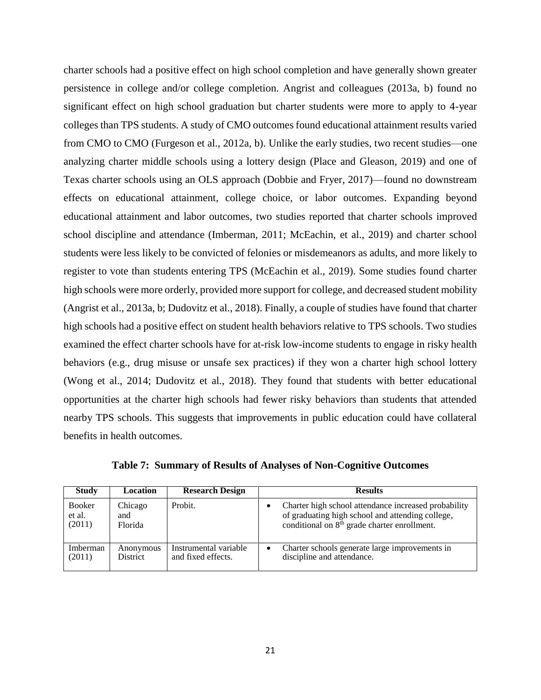charter schools had a positive effect on high school completion and have generally shown greater persistence in college and/or college completion. Angrist and colleagues (2013a, b) found no significant effect on high school graduation but charter students were more to apply to 4-year colleges than TPS students. A study of CMO outcomes found educational attainment results varied from CMO to CMO (Furgeson et al., 2012a, b). Unlike the early studies, two recent studies—one analyzing charter middle schools using a lottery design (Place and Gleason, 2019) and one of Texas charter schools using an OLS approach (Dobbie and Fryer, 2017)—found no downstream effects on educational attainment, college choice, or labor outcomes. Expanding beyond educational attainment and labor outcomes, two studies reported that charter schools improved school discipline and attendance (Imberman, 2011; McEachin, et al., 2019) and charter school students were less likely to be convicted of felonies or misdemeanors as adults, and more likely to register to vote than students entering TPS (McEachin et al., 2019). Some studies found charter high schools were more orderly, provided more support for college, and decreased student mobility (Angrist et al., 2013a, b; Dudovitz et al., 2018). Finally, a couple of studies have found that charter high schools had a positive effect on student health behaviors relative to TPS schools. Two studies examined the effect charter schools have for at-risk low-income students to engage in risky health behaviors (e.g., drug misuse or unsafe sex practices) if they won a charter high school lottery (Wong et al., 2014; Dudovitz et al., 2018). They found that students with better educational opportunities at the charter high schools had fewer risky behaviors than students that attended nearby TPS schools. This suggests that improvements in public education could have collateral benefits in health outcomes.

| <b>Table 7: Summary of Results of Analyses of Non-Cognitive Outcomes</b> |  |
|--------------------------------------------------------------------------|--|
|                                                                          |  |

| <b>Study</b>  | Location        | <b>Research Design</b> | <b>Results</b>                                           |
|---------------|-----------------|------------------------|----------------------------------------------------------|
| <b>Booker</b> | Chicago         | Probit.                | Charter high school attendance increased probability     |
| et al.        | and             |                        | of graduating high school and attending college,         |
| (2011)        | Florida         |                        | conditional on 8 <sup>th</sup> grade charter enrollment. |
| Imberman      | Anonymous       | Instrumental variable  | Charter schools generate large improvements in           |
| (2011)        | <b>District</b> | and fixed effects.     | discipline and attendance.                               |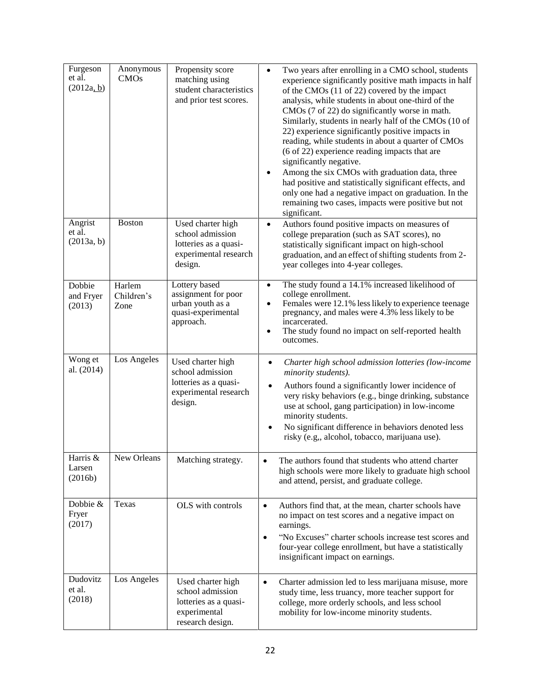| Furgeson<br>et al.<br>(2012a, b) | Anonymous<br><b>CMOs</b>     | Propensity score<br>matching using<br>student characteristics<br>and prior test scores.            | Two years after enrolling in a CMO school, students<br>experience significantly positive math impacts in half<br>of the CMOs (11 of 22) covered by the impact<br>analysis, while students in about one-third of the<br>CMOs (7 of 22) do significantly worse in math.<br>Similarly, students in nearly half of the CMOs (10 of<br>22) experience significantly positive impacts in<br>reading, while students in about a quarter of CMOs<br>(6 of 22) experience reading impacts that are<br>significantly negative.<br>Among the six CMOs with graduation data, three<br>$\bullet$<br>had positive and statistically significant effects, and<br>only one had a negative impact on graduation. In the<br>remaining two cases, impacts were positive but not<br>significant. |
|----------------------------------|------------------------------|----------------------------------------------------------------------------------------------------|------------------------------------------------------------------------------------------------------------------------------------------------------------------------------------------------------------------------------------------------------------------------------------------------------------------------------------------------------------------------------------------------------------------------------------------------------------------------------------------------------------------------------------------------------------------------------------------------------------------------------------------------------------------------------------------------------------------------------------------------------------------------------|
| Angrist<br>et al.<br>(2013a, b)  | <b>Boston</b>                | Used charter high<br>school admission<br>lotteries as a quasi-<br>experimental research<br>design. | Authors found positive impacts on measures of<br>$\bullet$<br>college preparation (such as SAT scores), no<br>statistically significant impact on high-school<br>graduation, and an effect of shifting students from 2-<br>year colleges into 4-year colleges.                                                                                                                                                                                                                                                                                                                                                                                                                                                                                                               |
| Dobbie<br>and Fryer<br>(2013)    | Harlem<br>Children's<br>Zone | Lottery based<br>assignment for poor<br>urban youth as a<br>quasi-experimental<br>approach.        | The study found a 14.1% increased likelihood of<br>$\bullet$<br>college enrollment.<br>Females were 12.1% less likely to experience teenage<br>$\bullet$<br>pregnancy, and males were 4.3% less likely to be<br>incarcerated.<br>The study found no impact on self-reported health<br>$\bullet$<br>outcomes.                                                                                                                                                                                                                                                                                                                                                                                                                                                                 |
| Wong et<br>al. (2014)            | Los Angeles                  | Used charter high<br>school admission<br>lotteries as a quasi-<br>experimental research<br>design. | Charter high school admission lotteries (low-income<br>$\bullet$<br>minority students).<br>Authors found a significantly lower incidence of<br>$\bullet$<br>very risky behaviors (e.g., binge drinking, substance<br>use at school, gang participation) in low-income<br>minority students.<br>No significant difference in behaviors denoted less<br>risky (e.g., alcohol, tobacco, marijuana use).                                                                                                                                                                                                                                                                                                                                                                         |
| Harris &<br>Larsen<br>(2016b)    | New Orleans                  | Matching strategy.                                                                                 | The authors found that students who attend charter<br>high schools were more likely to graduate high school<br>and attend, persist, and graduate college.                                                                                                                                                                                                                                                                                                                                                                                                                                                                                                                                                                                                                    |
| Dobbie &<br>Fryer<br>(2017)      | Texas                        | OLS with controls                                                                                  | Authors find that, at the mean, charter schools have<br>$\bullet$<br>no impact on test scores and a negative impact on<br>earnings.<br>"No Excuses" charter schools increase test scores and<br>$\bullet$<br>four-year college enrollment, but have a statistically<br>insignificant impact on earnings.                                                                                                                                                                                                                                                                                                                                                                                                                                                                     |
| Dudovitz<br>et al.<br>(2018)     | Los Angeles                  | Used charter high<br>school admission<br>lotteries as a quasi-<br>experimental<br>research design. | Charter admission led to less marijuana misuse, more<br>$\bullet$<br>study time, less truancy, more teacher support for<br>college, more orderly schools, and less school<br>mobility for low-income minority students.                                                                                                                                                                                                                                                                                                                                                                                                                                                                                                                                                      |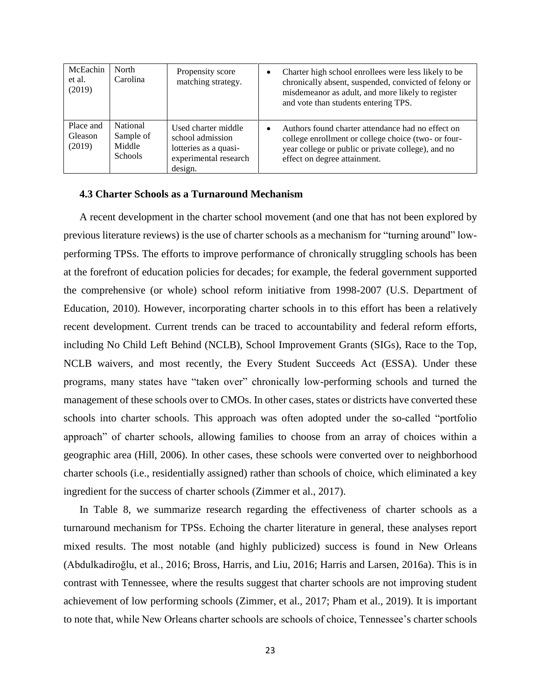| McEachin<br>et al.<br>(2019)   | North<br>Carolina                                 | Propensity score<br>matching strategy.                                                               | $\bullet$ | Charter high school enrollees were less likely to be<br>chronically absent, suspended, convicted of felony or<br>misdemeanor as adult, and more likely to register<br>and vote than students entering TPS. |
|--------------------------------|---------------------------------------------------|------------------------------------------------------------------------------------------------------|-----------|------------------------------------------------------------------------------------------------------------------------------------------------------------------------------------------------------------|
| Place and<br>Gleason<br>(2019) | National<br>Sample of<br>Middle<br><b>Schools</b> | Used charter middle<br>school admission<br>lotteries as a quasi-<br>experimental research<br>design. | $\bullet$ | Authors found charter attendance had no effect on<br>college enrollment or college choice (two- or four-<br>year college or public or private college), and no<br>effect on degree attainment.             |

#### **4.3 Charter Schools as a Turnaround Mechanism**

A recent development in the charter school movement (and one that has not been explored by previous literature reviews) is the use of charter schools as a mechanism for "turning around" lowperforming TPSs. The efforts to improve performance of chronically struggling schools has been at the forefront of education policies for decades; for example, the federal government supported the comprehensive (or whole) school reform initiative from 1998-2007 (U.S. Department of Education, 2010). However, incorporating charter schools in to this effort has been a relatively recent development. Current trends can be traced to accountability and federal reform efforts, including No Child Left Behind (NCLB), School Improvement Grants (SIGs), Race to the Top, NCLB waivers, and most recently, the Every Student Succeeds Act (ESSA). Under these programs, many states have "taken over" chronically low-performing schools and turned the management of these schools over to CMOs. In other cases, states or districts have converted these schools into charter schools. This approach was often adopted under the so-called "portfolio approach" of charter schools, allowing families to choose from an array of choices within a geographic area (Hill, 2006). In other cases, these schools were converted over to neighborhood charter schools (i.e., residentially assigned) rather than schools of choice, which eliminated a key ingredient for the success of charter schools (Zimmer et al., 2017).

In Table 8, we summarize research regarding the effectiveness of charter schools as a turnaround mechanism for TPSs. Echoing the charter literature in general, these analyses report mixed results. The most notable (and highly publicized) success is found in New Orleans (Abdulkadiroğlu, et al., 2016; Bross, Harris, and Liu, 2016; Harris and Larsen, 2016a). This is in contrast with Tennessee, where the results suggest that charter schools are not improving student achievement of low performing schools (Zimmer, et al., 2017; Pham et al., 2019). It is important to note that, while New Orleans charter schools are schools of choice, Tennessee's charter schools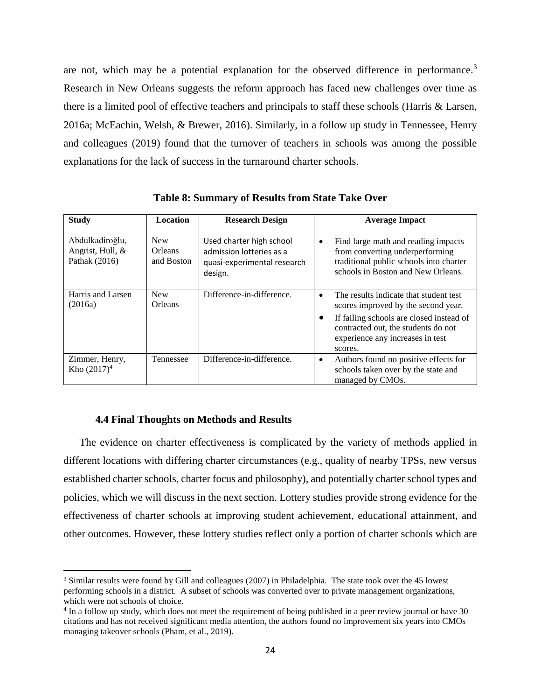are not, which may be a potential explanation for the observed difference in performance.<sup>3</sup> Research in New Orleans suggests the reform approach has faced new challenges over time as there is a limited pool of effective teachers and principals to staff these schools (Harris & Larsen, 2016a; McEachin, Welsh, & Brewer, 2016). Similarly, in a follow up study in Tennessee, Henry and colleagues (2019) found that the turnover of teachers in schools was among the possible explanations for the lack of success in the turnaround charter schools.

| <b>Study</b>                                         | Location                                   | <b>Research Design</b>                                                                         |           | <b>Average Impact</b>                                                                                                                                   |
|------------------------------------------------------|--------------------------------------------|------------------------------------------------------------------------------------------------|-----------|---------------------------------------------------------------------------------------------------------------------------------------------------------|
| Abdulkadiroğlu,<br>Angrist, Hull, &<br>Pathak (2016) | <b>New</b><br><b>Orleans</b><br>and Boston | Used charter high school<br>admission lotteries as a<br>quasi-experimental research<br>design. | $\bullet$ | Find large math and reading impacts<br>from converting underperforming<br>traditional public schools into charter<br>schools in Boston and New Orleans. |
| Harris and Larsen<br>(2016a)                         | <b>New</b><br>Orleans                      | Difference-in-difference.                                                                      | $\bullet$ | The results indicate that student test<br>scores improved by the second year.                                                                           |
|                                                      |                                            |                                                                                                | $\bullet$ | If failing schools are closed instead of<br>contracted out, the students do not<br>experience any increases in test<br>scores.                          |
| Zimmer, Henry,<br>Kho $(2017)^4$                     | Tennessee                                  | Difference-in-difference.                                                                      | $\bullet$ | Authors found no positive effects for<br>schools taken over by the state and<br>managed by CMOs.                                                        |

**Table 8: Summary of Results from State Take Over** 

#### **4.4 Final Thoughts on Methods and Results**

 $\overline{\phantom{a}}$ 

The evidence on charter effectiveness is complicated by the variety of methods applied in different locations with differing charter circumstances (e.g., quality of nearby TPSs, new versus established charter schools, charter focus and philosophy), and potentially charter school types and policies, which we will discuss in the next section. Lottery studies provide strong evidence for the effectiveness of charter schools at improving student achievement, educational attainment, and other outcomes. However, these lottery studies reflect only a portion of charter schools which are

<sup>&</sup>lt;sup>3</sup> Similar results were found by Gill and colleagues (2007) in Philadelphia. The state took over the 45 lowest performing schools in a district. A subset of schools was converted over to private management organizations, which were not schools of choice.

<sup>&</sup>lt;sup>4</sup> In a follow up study, which does not meet the requirement of being published in a peer review journal or have 30 citations and has not received significant media attention, the authors found no improvement six years into CMOs managing takeover schools (Pham, et al., 2019).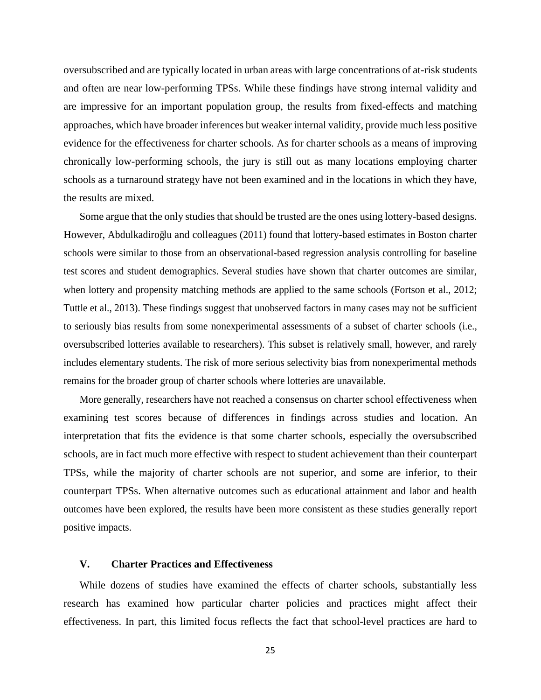oversubscribed and are typically located in urban areas with large concentrations of at-risk students and often are near low-performing TPSs. While these findings have strong internal validity and are impressive for an important population group, the results from fixed-effects and matching approaches, which have broader inferences but weaker internal validity, provide much less positive evidence for the effectiveness for charter schools. As for charter schools as a means of improving chronically low-performing schools, the jury is still out as many locations employing charter schools as a turnaround strategy have not been examined and in the locations in which they have, the results are mixed.

Some argue that the only studies that should be trusted are the ones using lottery-based designs. However, Abdulkadiroğlu [and colleagues](file:///C:/Users/rwzimm00/AppData/Local/Microsoft/Windows/Temporary%20Internet%20Files/Content.Outlook/8PBFT59M/new%20section%204.docx%23_bookmark75) (2011) found that lottery-based estimates in Boston charter schools were similar to those from an observational-based regression analysis controlling for baseline test scores and student demographics. Several studies have shown that charter outcomes are similar, when lottery and propensity matching methods are applied to the same schools (Fortson et al., 2012; Tuttle et al., 2013). These findings suggest that unobserved factors in many cases may not be sufficient to seriously bias results from some nonexperimental assessments of a subset of charter schools (i.e., oversubscribed lotteries available to researchers). This subset is relatively small, however, and rarely includes elementary students. The risk of more serious selectivity bias from nonexperimental methods remains for the broader group of charter schools where lotteries are unavailable.

More generally, researchers have not reached a consensus on charter school effectiveness when examining test scores because of differences in findings across studies and location. An interpretation that fits the evidence is that some charter schools, especially the oversubscribed schools, are in fact much more effective with respect to student achievement than their counterpart TPSs, while the majority of charter schools are not superior, and some are inferior, to their counterpart TPSs. When alternative outcomes such as educational attainment and labor and health outcomes have been explored, the results have been more consistent as these studies generally report positive impacts.

## **V. Charter Practices and Effectiveness**

While dozens of studies have examined the effects of charter schools, substantially less research has examined how particular charter policies and practices might affect their effectiveness. In part, this limited focus reflects the fact that school-level practices are hard to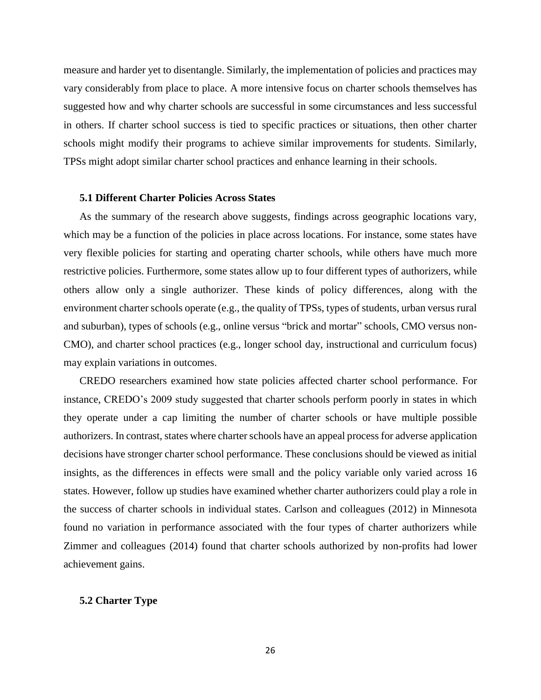measure and harder yet to disentangle. Similarly, the implementation of policies and practices may vary considerably from place to place. A more intensive focus on charter schools themselves has suggested how and why charter schools are successful in some circumstances and less successful in others. If charter school success is tied to specific practices or situations, then other charter schools might modify their programs to achieve similar improvements for students. Similarly, TPSs might adopt similar charter school practices and enhance learning in their schools.

#### **5.1 Different Charter Policies Across States**

As the summary of the research above suggests, findings across geographic locations vary, which may be a function of the policies in place across locations. For instance, some states have very flexible policies for starting and operating charter schools, while others have much more restrictive policies. Furthermore, some states allow up to four different types of authorizers, while others allow only a single authorizer. These kinds of policy differences, along with the environment charter schools operate (e.g., the quality of TPSs, types of students, urban versus rural and suburban), types of schools (e.g., online versus "brick and mortar" schools, CMO versus non-CMO), and charter school practices (e.g., longer school day, instructional and curriculum focus) may explain variations in outcomes.

CREDO researchers examined how state policies affected charter school performance. For instance, CREDO's 2009 study suggested that charter schools perform poorly in states in which they operate under a cap limiting the number of charter schools or have multiple possible authorizers. In contrast, states where charter schools have an appeal process for adverse application decisions have stronger charter school performance. These conclusions should be viewed as initial insights, as the differences in effects were small and the policy variable only varied across 16 states. However, follow up studies have examined whether charter authorizers could play a role in the success of charter schools in individual states. Carlson and colleagues (2012) in Minnesota found no variation in performance associated with the four types of charter authorizers while Zimmer and colleagues (2014) found that charter schools authorized by non-profits had lower achievement gains.

#### **5.2 Charter Type**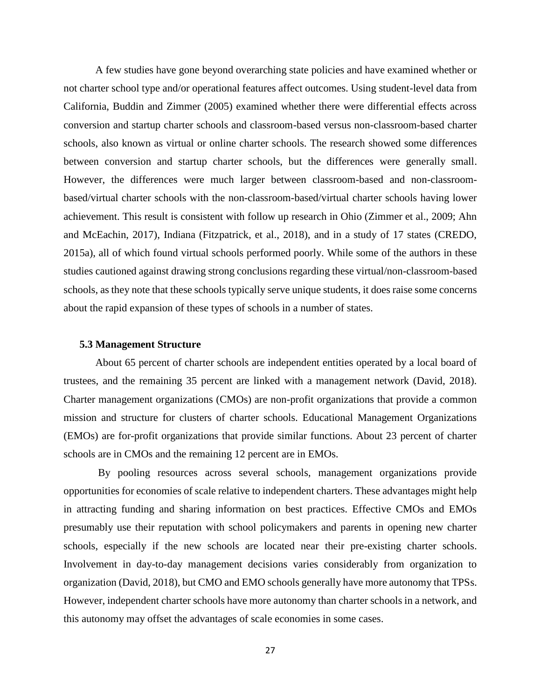A few studies have gone beyond overarching state policies and have examined whether or not charter school type and/or operational features affect outcomes. Using student-level data from California, Buddin and Zimmer (2005) examined whether there were differential effects across conversion and startup charter schools and classroom-based versus non-classroom-based charter schools, also known as virtual or online charter schools. The research showed some differences between conversion and startup charter schools, but the differences were generally small. However, the differences were much larger between classroom-based and non-classroombased/virtual charter schools with the non-classroom-based/virtual charter schools having lower achievement. This result is consistent with follow up research in Ohio (Zimmer et al., 2009; Ahn and McEachin, 2017), Indiana (Fitzpatrick, et al., 2018), and in a study of 17 states (CREDO, 2015a), all of which found virtual schools performed poorly. While some of the authors in these studies cautioned against drawing strong conclusions regarding these virtual/non-classroom-based schools, as they note that these schools typically serve unique students, it does raise some concerns about the rapid expansion of these types of schools in a number of states.

#### **5.3 Management Structure**

About 65 percent of charter schools are independent entities operated by a local board of trustees, and the remaining 35 percent are linked with a management network (David, 2018). Charter management organizations (CMOs) are non-profit organizations that provide a common mission and structure for clusters of charter schools. Educational Management Organizations (EMOs) are for-profit organizations that provide similar functions. About 23 percent of charter schools are in CMOs and the remaining 12 percent are in EMOs.

By pooling resources across several schools, management organizations provide opportunities for economies of scale relative to independent charters. These advantages might help in attracting funding and sharing information on best practices. Effective CMOs and EMOs presumably use their reputation with school policymakers and parents in opening new charter schools, especially if the new schools are located near their pre-existing charter schools. Involvement in day-to-day management decisions varies considerably from organization to organization (David, 2018), but CMO and EMO schools generally have more autonomy that TPSs. However, independent charter schools have more autonomy than charter schools in a network, and this autonomy may offset the advantages of scale economies in some cases.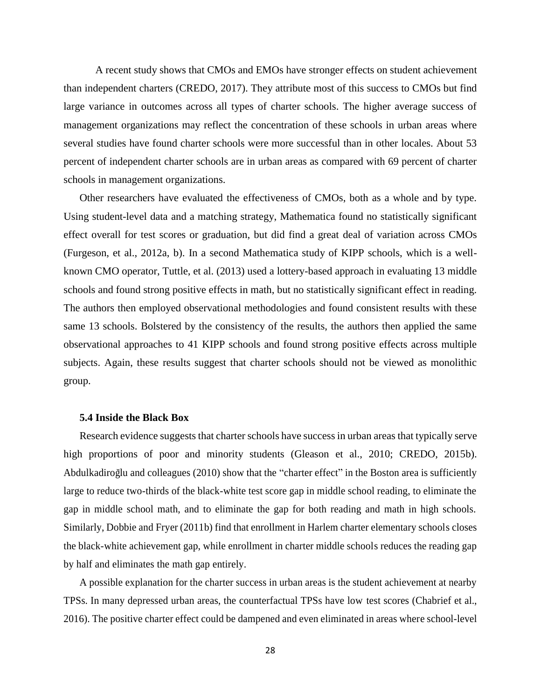A recent study shows that CMOs and EMOs have stronger effects on student achievement than independent charters (CREDO, 2017). They attribute most of this success to CMOs but find large variance in outcomes across all types of charter schools. The higher average success of management organizations may reflect the concentration of these schools in urban areas where several studies have found charter schools were more successful than in other locales. About 53 percent of independent charter schools are in urban areas as compared with 69 percent of charter schools in management organizations.

Other researchers have evaluated the effectiveness of CMOs, both as a whole and by type. Using student-level data and a matching strategy, Mathematica found no statistically significant effect overall for test scores or graduation, but did find a great deal of variation across CMOs (Furgeson, et al., 2012a, b). In a second Mathematica study of KIPP schools, which is a wellknown CMO operator, Tuttle, et al. (2013) used a lottery-based approach in evaluating 13 middle schools and found strong positive effects in math, but no statistically significant effect in reading. The authors then employed observational methodologies and found consistent results with these same 13 schools. Bolstered by the consistency of the results, the authors then applied the same observational approaches to 41 KIPP schools and found strong positive effects across multiple subjects. Again, these results suggest that charter schools should not be viewed as monolithic group.

#### **5.4 Inside the Black Box**

Research evidence suggests that charter schools have success in urban areas that typically serve high proportions of poor and minority students (Gleason et al., 2010; CREDO, 2015b). Abdulkadiroğlu and colleagues (2010) show that the "charter effect" in the Boston area is sufficiently large to reduce two-thirds of the black-white test score gap in middle school reading, to eliminate the gap in middle school math, and to eliminate the gap for both reading and math in high schools. Similarly, Dobbie and Fryer (2011b) find that enrollment in Harlem charter elementary schools closes the black-white achievement gap, while enrollment in charter middle schools reduces the reading gap by half and eliminates the math gap entirely.

A possible explanation for the charter success in urban areas is the student achievement at nearby TPSs. In many depressed urban areas, the counterfactual TPSs have low test scores (Chabrief et al., 2016). The positive charter effect could be dampened and even eliminated in areas where school-level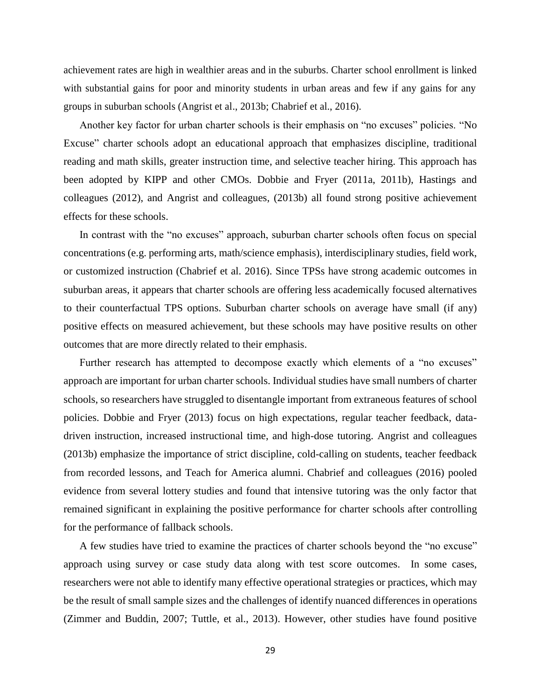achievement rates are high in wealthier areas and in the suburbs. Charter school enrollment is linked with substantial gains for poor and minority students in urban areas and few if any gains for any groups in suburban schools (Angrist et al., 2013b; Chabrief et al., 2016).

Another key factor for urban charter schools is their emphasis on "no excuses" policies. "No Excuse" charter schools adopt an educational approach that emphasizes discipline, traditional reading and math skills, greater instruction time, and selective teacher hiring. This approach has been adopted by KIPP and other CMOs. Dobbie and Fryer (2011a, 2011b), Hastings and colleagues (2012), and Angrist and colleagues, (2013b) all found strong positive achievement effects for these schools.

In contrast with the "no excuses" approach, suburban charter schools often focus on special concentrations (e.g. performing arts, math/science emphasis), interdisciplinary studies, field work, or customized instruction (Chabrief et al. 2016). Since TPSs have strong academic outcomes in suburban areas, it appears that charter schools are offering less academically focused alternatives to their counterfactual TPS options. Suburban charter schools on average have small (if any) positive effects on measured achievement, but these schools may have positive results on other outcomes that are more directly related to their emphasis.

Further research has attempted to decompose exactly which elements of a "no excuses" approach are important for urban charter schools. Individual studies have small numbers of charter schools, so researchers have struggled to disentangle important from extraneous features of school policies. Dobbie and Fryer (2013) focus on high expectations, regular teacher feedback, datadriven instruction, increased instructional time, and high-dose tutoring. Angrist and colleagues (2013b) emphasize the importance of strict discipline, cold-calling on students, teacher feedback from recorded lessons, and Teach for America alumni. Chabrief and colleagues (2016) pooled evidence from several lottery studies and found that intensive tutoring was the only factor that remained significant in explaining the positive performance for charter schools after controlling for the performance of fallback schools.

A few studies have tried to examine the practices of charter schools beyond the "no excuse" approach using survey or case study data along with test score outcomes. In some cases, researchers were not able to identify many effective operational strategies or practices, which may be the result of small sample sizes and the challenges of identify nuanced differences in operations (Zimmer and Buddin, 2007; Tuttle, et al., 2013). However, other studies have found positive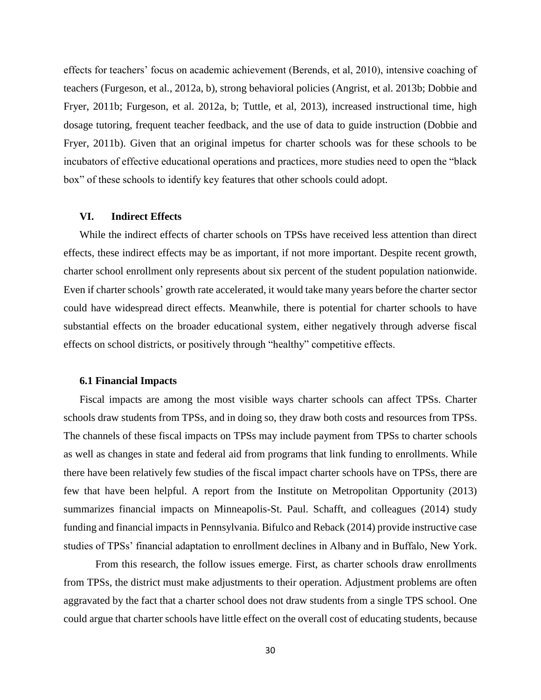effects for teachers' focus on academic achievement (Berends, et al, 2010), intensive coaching of teachers (Furgeson, et al., 2012a, b), strong behavioral policies (Angrist, et al. 2013b; Dobbie and Fryer, 2011b; Furgeson, et al. 2012a, b; Tuttle, et al, 2013), increased instructional time, high dosage tutoring, frequent teacher feedback, and the use of data to guide instruction (Dobbie and Fryer, 2011b). Given that an original impetus for charter schools was for these schools to be incubators of effective educational operations and practices, more studies need to open the "black box" of these schools to identify key features that other schools could adopt.

#### **VI. Indirect Effects**

While the indirect effects of charter schools on TPSs have received less attention than direct effects, these indirect effects may be as important, if not more important. Despite recent growth, charter school enrollment only represents about six percent of the student population nationwide. Even if charter schools' growth rate accelerated, it would take many years before the charter sector could have widespread direct effects. Meanwhile, there is potential for charter schools to have substantial effects on the broader educational system, either negatively through adverse fiscal effects on school districts, or positively through "healthy" competitive effects.

#### **6.1 Financial Impacts**

Fiscal impacts are among the most visible ways charter schools can affect TPSs. Charter schools draw students from TPSs, and in doing so, they draw both costs and resources from TPSs. The channels of these fiscal impacts on TPSs may include payment from TPSs to charter schools as well as changes in state and federal aid from programs that link funding to enrollments. While there have been relatively few studies of the fiscal impact charter schools have on TPSs, there are few that have been helpful. A report from the Institute on Metropolitan Opportunity (2013) summarizes financial impacts on Minneapolis-St. Paul. Schafft, and colleagues (2014) study funding and financial impacts in Pennsylvania. Bifulco and Reback (2014) provide instructive case studies of TPSs' financial adaptation to enrollment declines in Albany and in Buffalo, New York.

From this research, the follow issues emerge. First, as charter schools draw enrollments from TPSs, the district must make adjustments to their operation. Adjustment problems are often aggravated by the fact that a charter school does not draw students from a single TPS school. One could argue that charter schools have little effect on the overall cost of educating students, because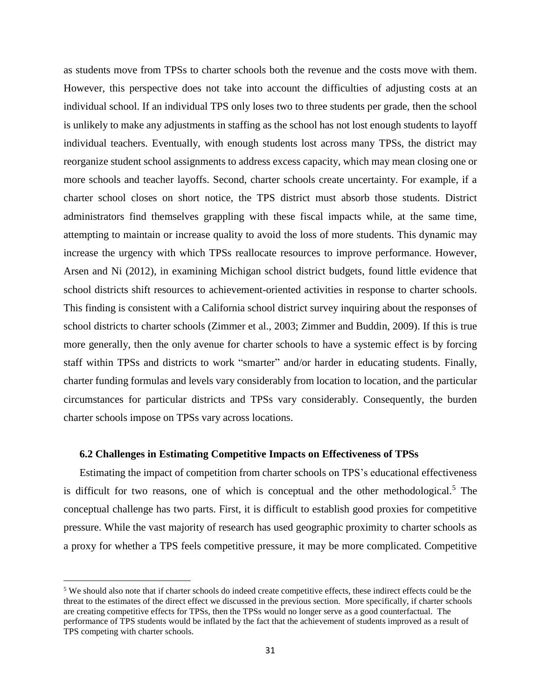as students move from TPSs to charter schools both the revenue and the costs move with them. However, this perspective does not take into account the difficulties of adjusting costs at an individual school. If an individual TPS only loses two to three students per grade, then the school is unlikely to make any adjustments in staffing as the school has not lost enough students to layoff individual teachers. Eventually, with enough students lost across many TPSs, the district may reorganize student school assignments to address excess capacity, which may mean closing one or more schools and teacher layoffs. Second, charter schools create uncertainty. For example, if a charter school closes on short notice, the TPS district must absorb those students. District administrators find themselves grappling with these fiscal impacts while, at the same time, attempting to maintain or increase quality to avoid the loss of more students. This dynamic may increase the urgency with which TPSs reallocate resources to improve performance. However, Arsen and Ni (2012), in examining Michigan school district budgets, found little evidence that school districts shift resources to achievement-oriented activities in response to charter schools. This finding is consistent with a California school district survey inquiring about the responses of school districts to charter schools (Zimmer et al., 2003; Zimmer and Buddin, 2009). If this is true more generally, then the only avenue for charter schools to have a systemic effect is by forcing staff within TPSs and districts to work "smarter" and/or harder in educating students. Finally, charter funding formulas and levels vary considerably from location to location, and the particular circumstances for particular districts and TPSs vary considerably. Consequently, the burden charter schools impose on TPSs vary across locations.

#### **6.2 Challenges in Estimating Competitive Impacts on Effectiveness of TPSs**

Estimating the impact of competition from charter schools on TPS's educational effectiveness is difficult for two reasons, one of which is conceptual and the other methodological.<sup>5</sup> The conceptual challenge has two parts. First, it is difficult to establish good proxies for competitive pressure. While the vast majority of research has used geographic proximity to charter schools as a proxy for whether a TPS feels competitive pressure, it may be more complicated. Competitive

l

<sup>&</sup>lt;sup>5</sup> We should also note that if charter schools do indeed create competitive effects, these indirect effects could be the threat to the estimates of the direct effect we discussed in the previous section. More specifically, if charter schools are creating competitive effects for TPSs, then the TPSs would no longer serve as a good counterfactual. The performance of TPS students would be inflated by the fact that the achievement of students improved as a result of TPS competing with charter schools.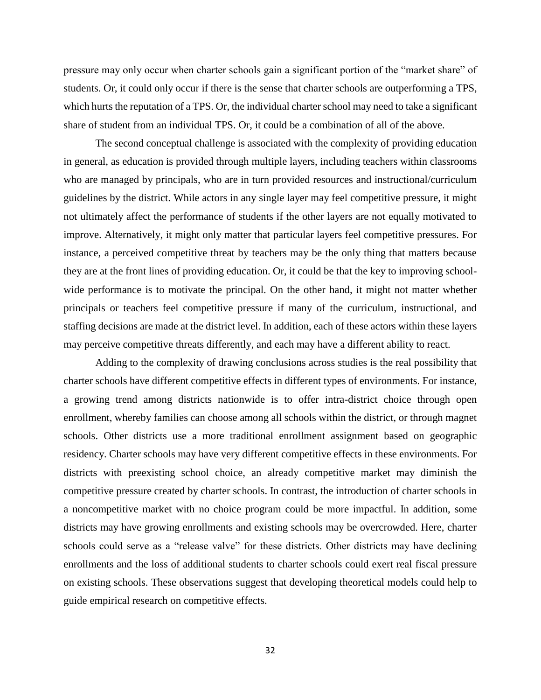pressure may only occur when charter schools gain a significant portion of the "market share" of students. Or, it could only occur if there is the sense that charter schools are outperforming a TPS, which hurts the reputation of a TPS. Or, the individual charter school may need to take a significant share of student from an individual TPS. Or, it could be a combination of all of the above.

The second conceptual challenge is associated with the complexity of providing education in general, as education is provided through multiple layers, including teachers within classrooms who are managed by principals, who are in turn provided resources and instructional/curriculum guidelines by the district. While actors in any single layer may feel competitive pressure, it might not ultimately affect the performance of students if the other layers are not equally motivated to improve. Alternatively, it might only matter that particular layers feel competitive pressures. For instance, a perceived competitive threat by teachers may be the only thing that matters because they are at the front lines of providing education. Or, it could be that the key to improving schoolwide performance is to motivate the principal. On the other hand, it might not matter whether principals or teachers feel competitive pressure if many of the curriculum, instructional, and staffing decisions are made at the district level. In addition, each of these actors within these layers may perceive competitive threats differently, and each may have a different ability to react.

Adding to the complexity of drawing conclusions across studies is the real possibility that charter schools have different competitive effects in different types of environments. For instance, a growing trend among districts nationwide is to offer intra-district choice through open enrollment, whereby families can choose among all schools within the district, or through magnet schools. Other districts use a more traditional enrollment assignment based on geographic residency. Charter schools may have very different competitive effects in these environments. For districts with preexisting school choice, an already competitive market may diminish the competitive pressure created by charter schools. In contrast, the introduction of charter schools in a noncompetitive market with no choice program could be more impactful. In addition, some districts may have growing enrollments and existing schools may be overcrowded. Here, charter schools could serve as a "release valve" for these districts. Other districts may have declining enrollments and the loss of additional students to charter schools could exert real fiscal pressure on existing schools. These observations suggest that developing theoretical models could help to guide empirical research on competitive effects.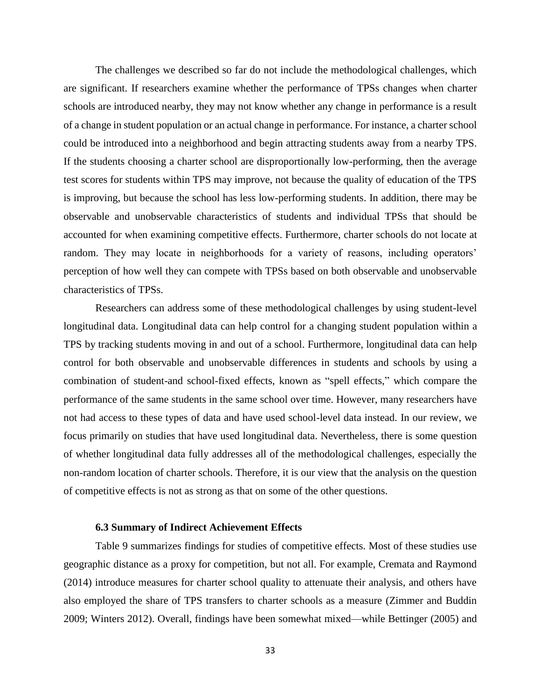The challenges we described so far do not include the methodological challenges, which are significant. If researchers examine whether the performance of TPSs changes when charter schools are introduced nearby, they may not know whether any change in performance is a result of a change in student population or an actual change in performance. For instance, a charter school could be introduced into a neighborhood and begin attracting students away from a nearby TPS. If the students choosing a charter school are disproportionally low-performing, then the average test scores for students within TPS may improve, not because the quality of education of the TPS is improving, but because the school has less low-performing students. In addition, there may be observable and unobservable characteristics of students and individual TPSs that should be accounted for when examining competitive effects. Furthermore, charter schools do not locate at random. They may locate in neighborhoods for a variety of reasons, including operators' perception of how well they can compete with TPSs based on both observable and unobservable characteristics of TPSs.

Researchers can address some of these methodological challenges by using student-level longitudinal data. Longitudinal data can help control for a changing student population within a TPS by tracking students moving in and out of a school. Furthermore, longitudinal data can help control for both observable and unobservable differences in students and schools by using a combination of student-and school-fixed effects, known as "spell effects," which compare the performance of the same students in the same school over time. However, many researchers have not had access to these types of data and have used school-level data instead. In our review, we focus primarily on studies that have used longitudinal data. Nevertheless, there is some question of whether longitudinal data fully addresses all of the methodological challenges, especially the non-random location of charter schools. Therefore, it is our view that the analysis on the question of competitive effects is not as strong as that on some of the other questions.

#### **6.3 Summary of Indirect Achievement Effects**

Table 9 summarizes findings for studies of competitive effects. Most of these studies use geographic distance as a proxy for competition, but not all. For example, Cremata and Raymond (2014) introduce measures for charter school quality to attenuate their analysis, and others have also employed the share of TPS transfers to charter schools as a measure (Zimmer and Buddin 2009; Winters 2012). Overall, findings have been somewhat mixed—while Bettinger (2005) and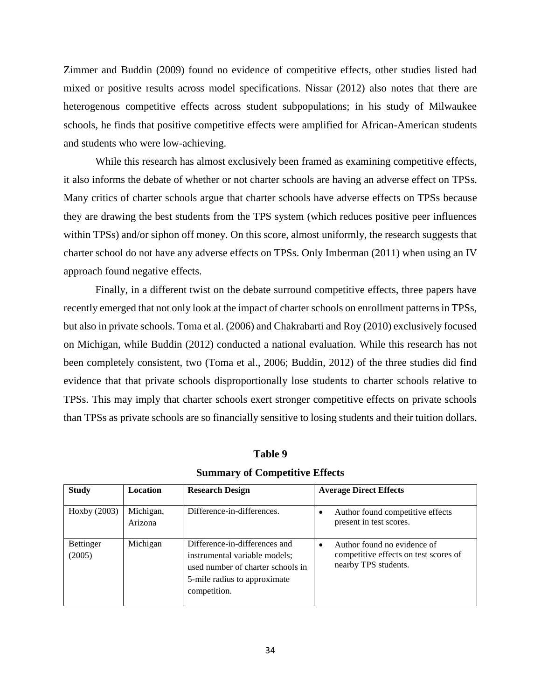Zimmer and Buddin (2009) found no evidence of competitive effects, other studies listed had mixed or positive results across model specifications. Nissar (2012) also notes that there are heterogenous competitive effects across student subpopulations; in his study of Milwaukee schools, he finds that positive competitive effects were amplified for African-American students and students who were low-achieving.

While this research has almost exclusively been framed as examining competitive effects, it also informs the debate of whether or not charter schools are having an adverse effect on TPSs. Many critics of charter schools argue that charter schools have adverse effects on TPSs because they are drawing the best students from the TPS system (which reduces positive peer influences within TPSs) and/or siphon off money. On this score, almost uniformly, the research suggests that charter school do not have any adverse effects on TPSs. Only Imberman (2011) when using an IV approach found negative effects.

Finally, in a different twist on the debate surround competitive effects, three papers have recently emerged that not only look at the impact of charter schools on enrollment patterns in TPSs, but also in private schools. Toma et al. (2006) and Chakrabarti and Roy (2010) exclusively focused on Michigan, while Buddin (2012) conducted a national evaluation. While this research has not been completely consistent, two (Toma et al., 2006; Buddin, 2012) of the three studies did find evidence that that private schools disproportionally lose students to charter schools relative to TPSs. This may imply that charter schools exert stronger competitive effects on private schools than TPSs as private schools are so financially sensitive to losing students and their tuition dollars.

| <b>Study</b>               | Location             | <b>Research Design</b>                                                                                                                              | <b>Average Direct Effects</b>                                                                             |
|----------------------------|----------------------|-----------------------------------------------------------------------------------------------------------------------------------------------------|-----------------------------------------------------------------------------------------------------------|
| Hoxby (2003)               | Michigan,<br>Arizona | Difference-in-differences.                                                                                                                          | Author found competitive effects<br>present in test scores.                                               |
| <b>Bettinger</b><br>(2005) | Michigan             | Difference-in-differences and<br>instrumental variable models;<br>used number of charter schools in<br>5-mile radius to approximate<br>competition. | Author found no evidence of<br>$\bullet$<br>competitive effects on test scores of<br>nearby TPS students. |

**Table 9 Summary of Competitive Effects**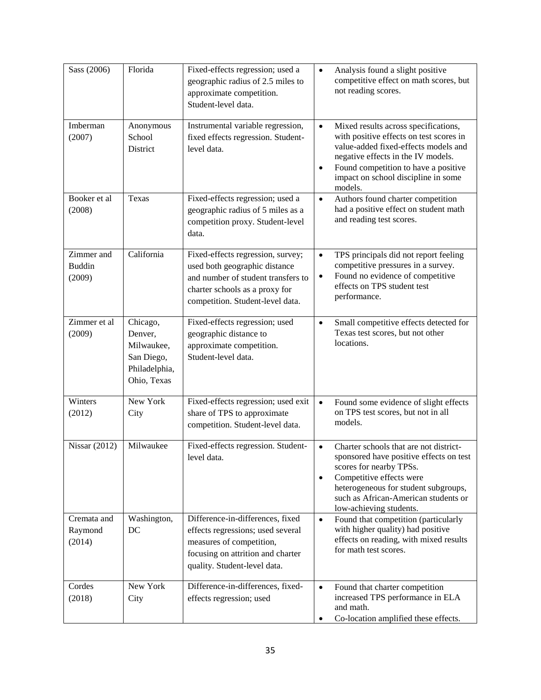| Sass (2006)                           | Florida                                                                         | Fixed-effects regression; used a<br>geographic radius of 2.5 miles to<br>approximate competition.<br>Student-level data.                                                       |                        | Analysis found a slight positive<br>competitive effect on math scores, but<br>not reading scores.                                                                                                                                                       |
|---------------------------------------|---------------------------------------------------------------------------------|--------------------------------------------------------------------------------------------------------------------------------------------------------------------------------|------------------------|---------------------------------------------------------------------------------------------------------------------------------------------------------------------------------------------------------------------------------------------------------|
| Imberman<br>(2007)                    | Anonymous<br>School<br>District                                                 | Instrumental variable regression,<br>fixed effects regression. Student-<br>level data.                                                                                         | $\bullet$<br>$\bullet$ | Mixed results across specifications,<br>with positive effects on test scores in<br>value-added fixed-effects models and<br>negative effects in the IV models.<br>Found competition to have a positive<br>impact on school discipline in some<br>models. |
| Booker et al<br>(2008)                | Texas                                                                           | Fixed-effects regression; used a<br>geographic radius of 5 miles as a<br>competition proxy. Student-level<br>data.                                                             | $\bullet$              | Authors found charter competition<br>had a positive effect on student math<br>and reading test scores.                                                                                                                                                  |
| Zimmer and<br><b>Buddin</b><br>(2009) | California                                                                      | Fixed-effects regression, survey;<br>used both geographic distance<br>and number of student transfers to<br>charter schools as a proxy for<br>competition. Student-level data. | $\bullet$<br>$\bullet$ | TPS principals did not report feeling<br>competitive pressures in a survey.<br>Found no evidence of competitive<br>effects on TPS student test<br>performance.                                                                                          |
| Zimmer et al<br>(2009)                | Chicago,<br>Denver,<br>Milwaukee,<br>San Diego,<br>Philadelphia,<br>Ohio, Texas | Fixed-effects regression; used<br>geographic distance to<br>approximate competition.<br>Student-level data.                                                                    | $\bullet$              | Small competitive effects detected for<br>Texas test scores, but not other<br>locations.                                                                                                                                                                |
| Winters<br>(2012)                     | New York<br>City                                                                | Fixed-effects regression; used exit<br>share of TPS to approximate<br>competition. Student-level data.                                                                         | $\bullet$              | Found some evidence of slight effects<br>on TPS test scores, but not in all<br>models.                                                                                                                                                                  |
| <b>Nissar</b> (2012)                  | Milwaukee                                                                       | Fixed-effects regression. Student-<br>level data.                                                                                                                              | $\bullet$<br>$\bullet$ | Charter schools that are not district-<br>sponsored have positive effects on test<br>scores for nearby TPSs.<br>Competitive effects were<br>heterogeneous for student subgroups,<br>such as African-American students or<br>low-achieving students.     |
| Cremata and<br>Raymond<br>(2014)      | Washington,<br>DC                                                               | Difference-in-differences, fixed<br>effects regressions; used several<br>measures of competition,<br>focusing on attrition and charter<br>quality. Student-level data.         | $\bullet$              | Found that competition (particularly<br>with higher quality) had positive<br>effects on reading, with mixed results<br>for math test scores.                                                                                                            |
| Cordes<br>(2018)                      | New York<br>City                                                                | Difference-in-differences, fixed-<br>effects regression; used                                                                                                                  | $\bullet$              | Found that charter competition<br>increased TPS performance in ELA<br>and math.<br>Co-location amplified these effects.                                                                                                                                 |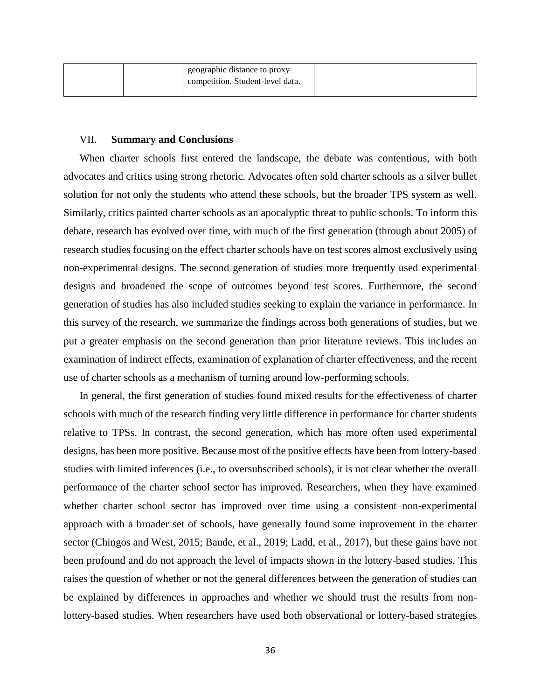| geographic distance to proxy<br>competition. Student-level data. |  |
|------------------------------------------------------------------|--|
|                                                                  |  |

#### VII. **Summary and Conclusions**

When charter schools first entered the landscape, the debate was contentious, with both advocates and critics using strong rhetoric. Advocates often sold charter schools as a silver bullet solution for not only the students who attend these schools, but the broader TPS system as well. Similarly, critics painted charter schools as an apocalyptic threat to public schools. To inform this debate, research has evolved over time, with much of the first generation (through about 2005) of research studies focusing on the effect charter schools have on test scores almost exclusively using non-experimental designs. The second generation of studies more frequently used experimental designs and broadened the scope of outcomes beyond test scores. Furthermore, the second generation of studies has also included studies seeking to explain the variance in performance. In this survey of the research, we summarize the findings across both generations of studies, but we put a greater emphasis on the second generation than prior literature reviews. This includes an examination of indirect effects, examination of explanation of charter effectiveness, and the recent use of charter schools as a mechanism of turning around low-performing schools.

In general, the first generation of studies found mixed results for the effectiveness of charter schools with much of the research finding very little difference in performance for charter students relative to TPSs. In contrast, the second generation, which has more often used experimental designs, has been more positive. Because most of the positive effects have been from lottery-based studies with limited inferences (i.e., to oversubscribed schools), it is not clear whether the overall performance of the charter school sector has improved. Researchers, when they have examined whether charter school sector has improved over time using a consistent non-experimental approach with a broader set of schools, have generally found some improvement in the charter sector (Chingos and West, 2015; Baude, et al., 2019; Ladd, et al., 2017), but these gains have not been profound and do not approach the level of impacts shown in the lottery-based studies. This raises the question of whether or not the general differences between the generation of studies can be explained by differences in approaches and whether we should trust the results from nonlottery-based studies. When researchers have used both observational or lottery-based strategies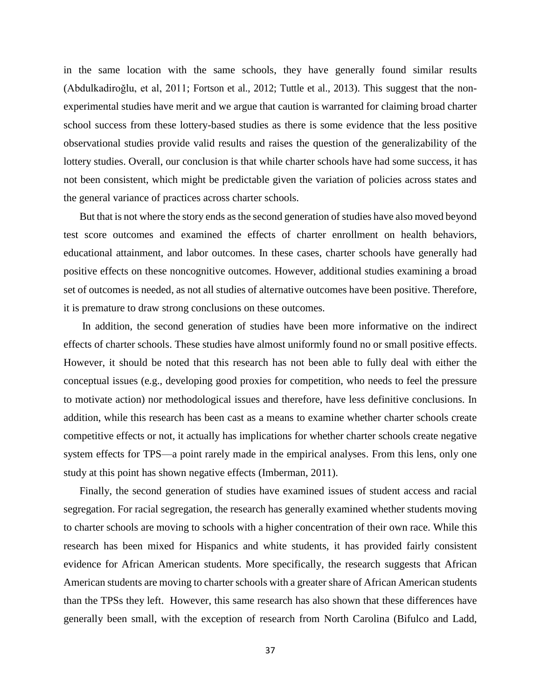in the same location with the same schools, they have generally found similar results (Abdulkadiroğlu, et al, 2011; Fortson et al., 2012; Tuttle et al., 2013). This suggest that the nonexperimental studies have merit and we argue that caution is warranted for claiming broad charter school success from these lottery-based studies as there is some evidence that the less positive observational studies provide valid results and raises the question of the generalizability of the lottery studies. Overall, our conclusion is that while charter schools have had some success, it has not been consistent, which might be predictable given the variation of policies across states and the general variance of practices across charter schools.

But that is not where the story ends as the second generation of studies have also moved beyond test score outcomes and examined the effects of charter enrollment on health behaviors, educational attainment, and labor outcomes. In these cases, charter schools have generally had positive effects on these noncognitive outcomes. However, additional studies examining a broad set of outcomes is needed, as not all studies of alternative outcomes have been positive. Therefore, it is premature to draw strong conclusions on these outcomes.

In addition, the second generation of studies have been more informative on the indirect effects of charter schools. These studies have almost uniformly found no or small positive effects. However, it should be noted that this research has not been able to fully deal with either the conceptual issues (e.g., developing good proxies for competition, who needs to feel the pressure to motivate action) nor methodological issues and therefore, have less definitive conclusions. In addition, while this research has been cast as a means to examine whether charter schools create competitive effects or not, it actually has implications for whether charter schools create negative system effects for TPS—a point rarely made in the empirical analyses. From this lens, only one study at this point has shown negative effects (Imberman, 2011).

Finally, the second generation of studies have examined issues of student access and racial segregation. For racial segregation, the research has generally examined whether students moving to charter schools are moving to schools with a higher concentration of their own race. While this research has been mixed for Hispanics and white students, it has provided fairly consistent evidence for African American students. More specifically, the research suggests that African American students are moving to charter schools with a greater share of African American students than the TPSs they left. However, this same research has also shown that these differences have generally been small, with the exception of research from North Carolina (Bifulco and Ladd,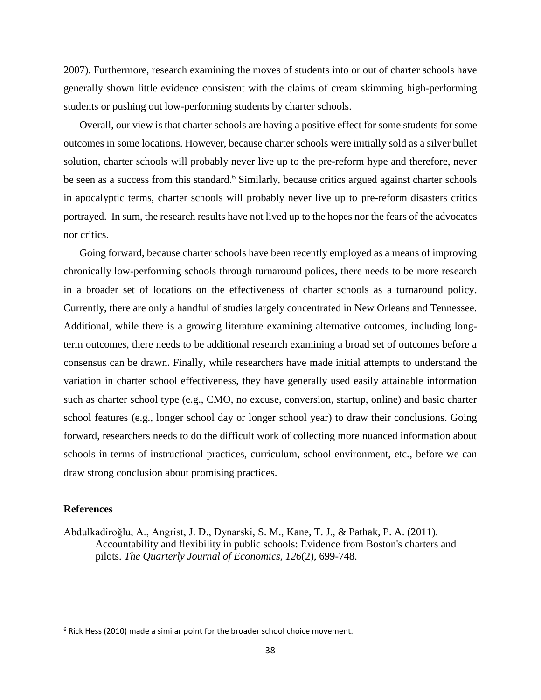2007). Furthermore, research examining the moves of students into or out of charter schools have generally shown little evidence consistent with the claims of cream skimming high-performing students or pushing out low-performing students by charter schools.

Overall, our view is that charter schools are having a positive effect for some students for some outcomes in some locations. However, because charter schools were initially sold as a silver bullet solution, charter schools will probably never live up to the pre-reform hype and therefore, never be seen as a success from this standard.<sup>6</sup> Similarly, because critics argued against charter schools in apocalyptic terms, charter schools will probably never live up to pre-reform disasters critics portrayed. In sum, the research results have not lived up to the hopes nor the fears of the advocates nor critics.

Going forward, because charter schools have been recently employed as a means of improving chronically low-performing schools through turnaround polices, there needs to be more research in a broader set of locations on the effectiveness of charter schools as a turnaround policy. Currently, there are only a handful of studies largely concentrated in New Orleans and Tennessee. Additional, while there is a growing literature examining alternative outcomes, including longterm outcomes, there needs to be additional research examining a broad set of outcomes before a consensus can be drawn. Finally, while researchers have made initial attempts to understand the variation in charter school effectiveness, they have generally used easily attainable information such as charter school type (e.g., CMO, no excuse, conversion, startup, online) and basic charter school features (e.g., longer school day or longer school year) to draw their conclusions. Going forward, researchers needs to do the difficult work of collecting more nuanced information about schools in terms of instructional practices, curriculum, school environment, etc., before we can draw strong conclusion about promising practices.

#### **References**

 $\overline{\phantom{a}}$ 

Abdulkadiroğlu, A., Angrist, J. D., Dynarski, S. M., Kane, T. J., & Pathak, P. A. (2011). Accountability and flexibility in public schools: Evidence from Boston's charters and pilots. *The Quarterly Journal of Economics, 126*(2), 699-748.

<sup>&</sup>lt;sup>6</sup> Rick Hess (2010) made a similar point for the broader school choice movement.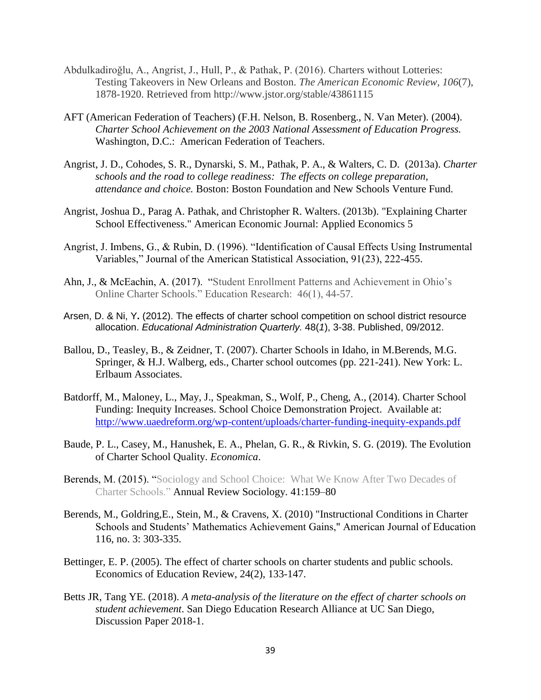- Abdulkadiroğlu, A., Angrist, J., Hull, P., & Pathak, P. (2016). Charters without Lotteries: Testing Takeovers in New Orleans and Boston. *The American Economic Review, 106*(7), 1878-1920. Retrieved from http://www.jstor.org/stable/43861115
- AFT (American Federation of Teachers) (F.H. Nelson, B. Rosenberg., N. Van Meter). (2004). *Charter School Achievement on the 2003 National Assessment of Education Progress.*  Washington, D.C.: American Federation of Teachers.
- Angrist, J. D., Cohodes, S. R., Dynarski, S. M., Pathak, P. A., & Walters, C. D. (2013a). *Charter schools and the road to college readiness: The effects on college preparation, attendance and choice.* Boston: Boston Foundation and New Schools Venture Fund.
- Angrist, Joshua D., Parag A. Pathak, and Christopher R. Walters. (2013b). "Explaining Charter School Effectiveness." American Economic Journal: Applied Economics 5
- Angrist, J. Imbens, G., & Rubin, D. (1996). "Identification of Causal Effects Using Instrumental Variables," Journal of the American Statistical Association, 91(23), 222-455.
- Ahn, J., & McEachin, A. (2017). "Student Enrollment Patterns and Achievement in Ohio's Online Charter Schools." Education Research: 46(1), 44-57.
- Arsen, D. & Ni, Y**.** (2012). The effects of charter school competition on school district resource allocation. *Educational Administration Quarterly.* 48(*1*), 3-38. Published, 09/2012.
- Ballou, D., Teasley, B., & Zeidner, T. (2007). Charter Schools in Idaho, in M.Berends, M.G. Springer, & H.J. Walberg, eds., Charter school outcomes (pp. 221-241). New York: L. Erlbaum Associates.
- Batdorff, M., Maloney, L., May, J., Speakman, S., Wolf, P., Cheng, A., (2014). Charter School Funding: Inequity Increases. School Choice Demonstration Project. Available at: <http://www.uaedreform.org/wp-content/uploads/charter-funding-inequity-expands.pdf>
- Baude, P. L., Casey, M., Hanushek, E. A., Phelan, G. R., & Rivkin, S. G. (2019). The Evolution of Charter School Quality. *Economica*.
- Berends, M. (2015). "Sociology and School Choice: What We Know After Two Decades of Charter Schools." Annual Review Sociology. 41:159–80
- Berends, M., Goldring,E., Stein, M., & Cravens, X. (2010) "Instructional Conditions in Charter Schools and Students' Mathematics Achievement Gains," American Journal of Education 116, no. 3: 303-335.
- Bettinger, E. P. (2005). The effect of charter schools on charter students and public schools. Economics of Education Review, 24(2), 133-147.
- Betts JR, Tang YE. (2018). *A meta-analysis of the literature on the effect of charter schools on student achievement*. San Diego Education Research Alliance at UC San Diego, Discussion Paper 2018-1.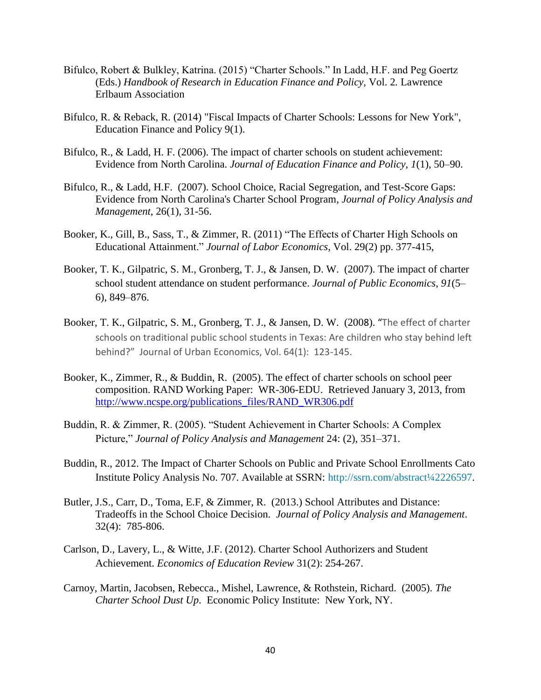- Bifulco, Robert & Bulkley, Katrina. (2015) "Charter Schools." In Ladd, H.F. and Peg Goertz (Eds.) *Handbook of Research in Education Finance and Policy,* Vol. 2*.* Lawrence Erlbaum Association
- Bifulco, R. & Reback, R. (2014) "Fiscal Impacts of Charter Schools: Lessons for New York", Education Finance and Policy 9(1).
- Bifulco, R., & Ladd, H. F. (2006). The impact of charter schools on student achievement: Evidence from North Carolina. *Journal of Education Finance and Policy*, *1*(1), 50–90.
- Bifulco, R., & Ladd, H.F. (2007). School Choice, Racial Segregation, and Test-Score Gaps: Evidence from North Carolina's Charter School Program, *Journal of Policy Analysis and Management*, 26(1), 31-56.
- Booker, K., Gill, B., Sass, T., & Zimmer, R. (2011) "The Effects of Charter High Schools on Educational Attainment." *Journal of Labor Economics*, Vol. 29(2) pp. 377-415,
- Booker, T. K., Gilpatric, S. M., Gronberg, T. J., & Jansen, D. W. (2007). The impact of charter school student attendance on student performance. *Journal of Public Economics*, *91*(5– 6), 849–876.
- Booker, T. K., Gilpatric, S. M., Gronberg, T. J., & Jansen, D. W. (2008). "The effect of charter schools on traditional public school students in Texas: Are children who stay behind left behind?" Journal of Urban Economics, Vol. 64(1): 123-145.
- Booker, K., Zimmer, R., & Buddin, R. (2005). The effect of charter schools on school peer composition. RAND Working Paper: WR-306-EDU. Retrieved January 3, 2013, from [http://www.ncspe.org/publications\\_files/RAND\\_WR306.pdf](http://www.ncspe.org/publications_files/RAND_WR306.pdf)
- Buddin, R. & Zimmer, R. (2005). "Student Achievement in Charter Schools: A Complex Picture," *Journal of Policy Analysis and Management* 24: (2), 351–371.
- Buddin, R., 2012. The Impact of Charter Schools on Public and Private School Enrollments Cato Institute Policy Analysis No. 707. Available at SSRN: http://ssrn.com/abstract<sup>1</sup>/42226597.
- Butler, J.S., Carr, D., Toma, E.F, & Zimmer, R. (2013.) School Attributes and Distance: Tradeoffs in the School Choice Decision. *Journal of Policy Analysis and Management*. 32(4): 785-806.
- Carlson, D., Lavery, L., & Witte, J.F. (2012). Charter School Authorizers and Student Achievement. *Economics of Education Review* 31(2): 254-267.
- Carnoy, Martin, Jacobsen, Rebecca., Mishel, Lawrence, & Rothstein, Richard. (2005). *The Charter School Dust Up*. Economic Policy Institute: New York, NY.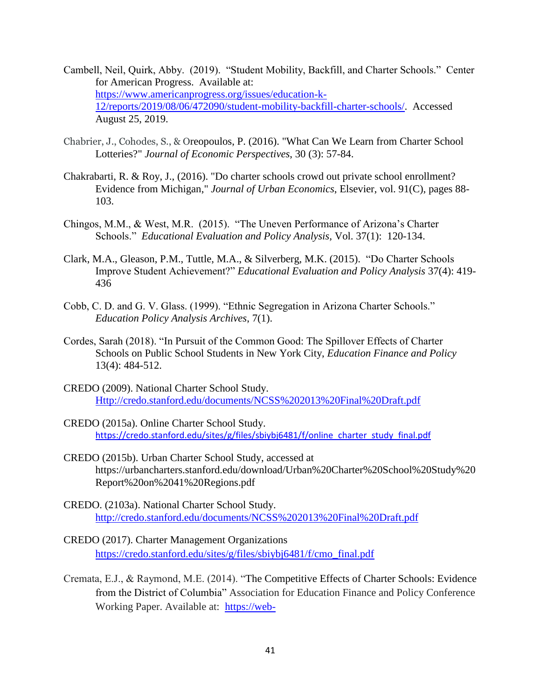- Cambell, Neil, Quirk, Abby. (2019). "Student Mobility, Backfill, and Charter Schools." Center for American Progress. Available at: [https://www.americanprogress.org/issues/education-k-](https://www.americanprogress.org/issues/education-k-12/reports/2019/08/06/472090/student-mobility-backfill-charter-schools/)[12/reports/2019/08/06/472090/student-mobility-backfill-charter-schools/.](https://www.americanprogress.org/issues/education-k-12/reports/2019/08/06/472090/student-mobility-backfill-charter-schools/) Accessed August 25, 2019.
- Chabrier, J., Cohodes, S., & Oreopoulos, P. (2016). "What Can We Learn from Charter School Lotteries?" *Journal of Economic Perspectives*, 30 (3): 57-84.
- Chakrabarti, R. & Roy, J., (2016). ["Do charter schools crowd out private school enrollment?](https://ideas.repec.org/a/eee/juecon/v91y2016icp88-103.html)  [Evidence from Michigan,](https://ideas.repec.org/a/eee/juecon/v91y2016icp88-103.html)" *[Journal of Urban Economics](https://ideas.repec.org/s/eee/juecon.html)*, Elsevier, vol. 91(C), pages 88- 103.
- Chingos, M.M., & West, M.R. (2015). "The Uneven Performance of Arizona's Charter Schools." *Educational Evaluation and Policy Analysis,* Vol. 37(1): 120-134.
- Clark, M.A., Gleason, P.M., Tuttle, M.A., & Silverberg, M.K. (2015). "Do Charter Schools Improve Student Achievement?" *Educational Evaluation and Policy Analysis* 37(4): 419- 436
- Cobb, C. D. and G. V. Glass. (1999). "Ethnic Segregation in Arizona Charter Schools." *Education Policy Analysis Archives*, 7(1).
- Cordes, Sarah (2018). "In Pursuit of the Common Good: The Spillover Effects of Charter Schools on Public School Students in New York City, *Education Finance and Policy* 13(4): 484-512.
- CREDO (2009). National Charter School Study. [Http://credo.stanford.edu/documents/NCSS%202013%20Final%20Draft.pdf](http://credo.stanford.edu/documents/NCSS%202013%20Final%20Draft.pdf)
- CREDO (2015a). Online Charter School Study. [https://credo.stanford.edu/sites/g/files/sbiybj6481/f/online\\_charter\\_study\\_final.pdf](https://credo.stanford.edu/sites/g/files/sbiybj6481/f/online_charter_study_final.pdf)
- CREDO (2015b). Urban Charter School Study, accessed at https://urbancharters.stanford.edu/download/Urban%20Charter%20School%20Study%20 Report%20on%2041%20Regions.pdf
- CREDO. (2103a). National Charter School Study. <http://credo.stanford.edu/documents/NCSS%202013%20Final%20Draft.pdf>
- CREDO (2017). Charter Management Organizations [https://credo.stanford.edu/sites/g/files/sbiybj6481/f/cmo\\_final.pdf](https://credo.stanford.edu/sites/g/files/sbiybj6481/f/cmo_final.pdf)
- Cremata, E.J., & Raymond, M.E. (2014). "The Competitive Effects of Charter Schools: Evidence from the District of Columbia" Association for Education Finance and Policy Conference Working Paper. Available at: [https://web-](https://web-app.usc.edu/web/rossierphd/publications/14/DC%20Competitive%20Impacts%20-%20Working%20Paper.pdf)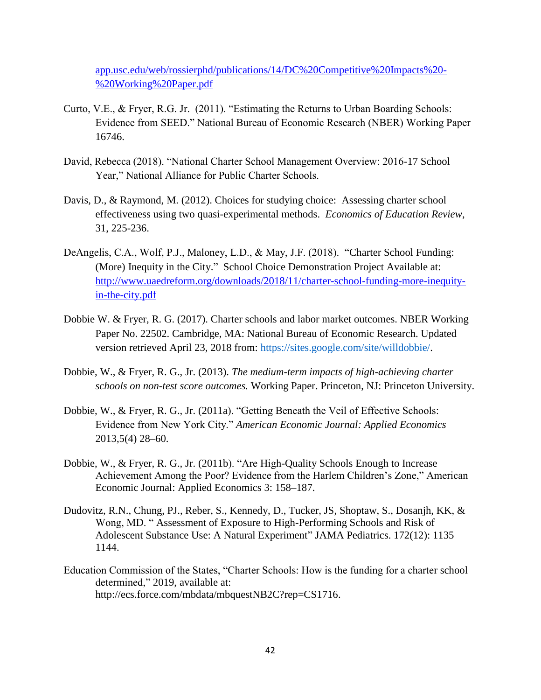[app.usc.edu/web/rossierphd/publications/14/DC%20Competitive%20Impacts%20-](https://web-app.usc.edu/web/rossierphd/publications/14/DC%20Competitive%20Impacts%20-%20Working%20Paper.pdf) [%20Working%20Paper.pdf](https://web-app.usc.edu/web/rossierphd/publications/14/DC%20Competitive%20Impacts%20-%20Working%20Paper.pdf)

- Curto, V.E., & Fryer, R.G. Jr. (2011). "Estimating the Returns to Urban Boarding Schools: Evidence from SEED." National Bureau of Economic Research (NBER) Working Paper 16746.
- David, Rebecca (2018). "National Charter School Management Overview: 2016-17 School Year," National Alliance for Public Charter Schools.
- Davis, D., & Raymond, M. (2012). Choices for studying choice: Assessing charter school effectiveness using two quasi-experimental methods. *Economics of Education Review*, 31, 225-236.
- DeAngelis, C.A., Wolf, P.J., Maloney, L.D., & May, J.F. (2018). "Charter School Funding: (More) Inequity in the City." School Choice Demonstration Project Available at: [http://www.uaedreform.org/downloads/2018/11/charter-school-funding-more-inequity](http://www.uaedreform.org/downloads/2018/11/charter-school-funding-more-inequity-in-the-city.pdf)[in-the-city.pdf](http://www.uaedreform.org/downloads/2018/11/charter-school-funding-more-inequity-in-the-city.pdf)
- Dobbie W. & Fryer, R. G. (2017). Charter schools and labor market outcomes. NBER Working Paper No. 22502. Cambridge, MA: National Bureau of Economic Research. Updated version retrieved April 23, 2018 from: https://sites.google.com/site/willdobbie/.
- Dobbie, W., & Fryer, R. G., Jr. (2013). *The medium-term impacts of high-achieving charter schools on non-test score outcomes.* Working Paper. Princeton, NJ: Princeton University.
- Dobbie, W., & Fryer, R. G., Jr. (2011a). "Getting Beneath the Veil of Effective Schools: Evidence from New York City." *American Economic Journal: Applied Economics* 2013,5(4) 28–60.
- Dobbie, W., & Fryer, R. G., Jr. (2011b). "Are High-Quality Schools Enough to Increase Achievement Among the Poor? Evidence from the Harlem Children's Zone," American Economic Journal: Applied Economics 3: 158–187.
- Dudovitz, R.N., Chung, PJ., Reber, S., Kennedy, D., Tucker, JS, Shoptaw, S., Dosanjh, KK, & Wong, MD. " Assessment of Exposure to High-Performing Schools and Risk of Adolescent Substance Use: A Natural Experiment" JAMA Pediatrics. 172(12): 1135– 1144.
- Education Commission of the States, "Charter Schools: How is the funding for a charter school determined," 2019, available at: http://ecs.force.com/mbdata/mbquestNB2C?rep=CS1716.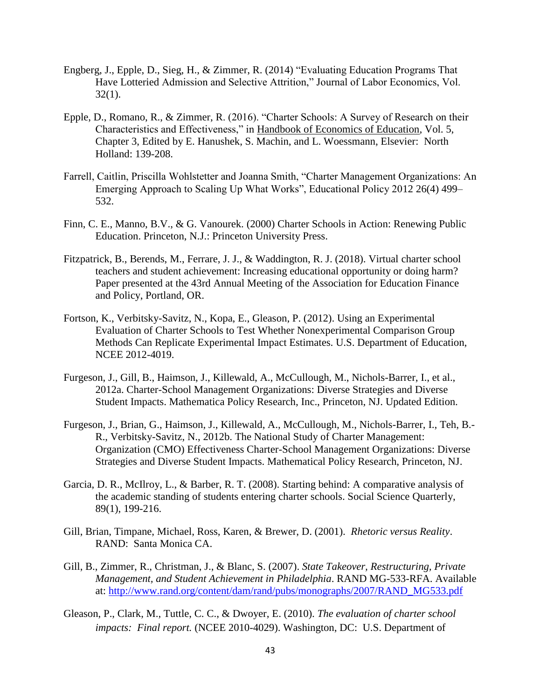- Engberg, J., Epple, D., Sieg, H., & Zimmer, R. (2014) "Evaluating Education Programs That Have Lotteried Admission and Selective Attrition," Journal of Labor Economics, Vol.  $32(1)$ .
- Epple, D., Romano, R., & Zimmer, R. (2016). "Charter Schools: A Survey of Research on their Characteristics and Effectiveness," in Handbook of Economics of Education, Vol. 5, Chapter 3, Edited by E. Hanushek, S. Machin, and L. Woessmann, Elsevier:North Holland: 139-208.
- Farrell, Caitlin, Priscilla Wohlstetter and Joanna Smith, "Charter Management Organizations: An Emerging Approach to Scaling Up What Works", Educational Policy 2012 26(4) 499– 532.
- Finn, C. E., Manno, B.V., & G. Vanourek. (2000) Charter Schools in Action: Renewing Public Education. Princeton, N.J.: Princeton University Press.
- Fitzpatrick, B., Berends, M., Ferrare, J. J., & Waddington, R. J. (2018). Virtual charter school teachers and student achievement: Increasing educational opportunity or doing harm? Paper presented at the 43rd Annual Meeting of the Association for Education Finance and Policy, Portland, OR.
- Fortson, K., Verbitsky-Savitz, N., Kopa, E., Gleason, P. (2012). Using an Experimental Evaluation of Charter Schools to Test Whether Nonexperimental Comparison Group Methods Can Replicate Experimental Impact Estimates. U.S. Department of Education, NCEE 2012-4019.
- Furgeson, J., Gill, B., Haimson, J., Killewald, A., McCullough, M., Nichols-Barrer, I., et al., 2012a. Charter-School Management Organizations: Diverse Strategies and Diverse Student Impacts. Mathematica Policy Research, Inc., Princeton, NJ. Updated Edition.
- Furgeson, J., Brian, G., Haimson, J., Killewald, A., McCullough, M., Nichols-Barrer, I., Teh, B.- R., Verbitsky-Savitz, N., 2012b. The National Study of Charter Management: Organization (CMO) Effectiveness Charter-School Management Organizations: Diverse Strategies and Diverse Student Impacts. Mathematical Policy Research, Princeton, NJ.
- Garcia, D. R., McIlroy, L., & Barber, R. T. (2008). Starting behind: A comparative analysis of the academic standing of students entering charter schools. Social Science Quarterly, 89(1), 199-216.
- Gill, Brian, Timpane, Michael, Ross, Karen, & Brewer, D. (2001). *Rhetoric versus Reality*. RAND: Santa Monica CA.
- Gill, B., Zimmer, R., Christman, J., & Blanc, S. (2007). *State Takeover, Restructuring, Private Management, and Student Achievement in Philadelphia*. RAND MG-533-RFA. Available at: [http://www.rand.org/content/dam/rand/pubs/monographs/2007/RAND\\_MG533.pdf](http://www.rand.org/content/dam/rand/pubs/monographs/2007/RAND_MG533.pdf)
- Gleason, P., Clark, M., Tuttle, C. C., & Dwoyer, E. (2010). *The evaluation of charter school impacts: Final report.* (NCEE 2010-4029). Washington, DC: U.S. Department of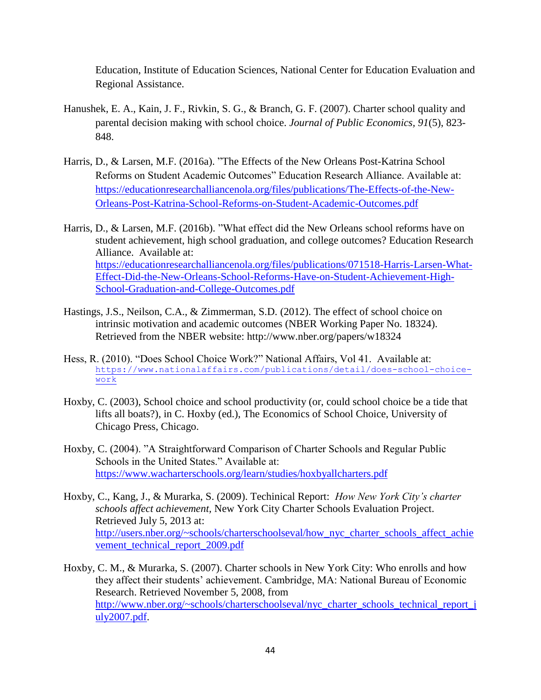Education, Institute of Education Sciences, National Center for Education Evaluation and Regional Assistance.

- Hanushek, E. A., Kain, J. F., Rivkin, S. G., & Branch, G. F. (2007). Charter school quality and parental decision making with school choice. *Journal of Public Economics, 91*(5), 823- 848.
- Harris, D., & Larsen, M.F. (2016a). "The Effects of the New Orleans Post-Katrina School Reforms on Student Academic Outcomes" Education Research Alliance. Available at: [https://educationresearchalliancenola.org/files/publications/The-Effects-of-the-New-](https://educationresearchalliancenola.org/files/publications/The-Effects-of-the-New-Orleans-Post-Katrina-School-Reforms-on-Student-Academic-Outcomes.pdf)[Orleans-Post-Katrina-School-Reforms-on-Student-Academic-Outcomes.pdf](https://educationresearchalliancenola.org/files/publications/The-Effects-of-the-New-Orleans-Post-Katrina-School-Reforms-on-Student-Academic-Outcomes.pdf)
- Harris, D., & Larsen, M.F. (2016b). "What effect did the New Orleans school reforms have on student achievement, high school graduation, and college outcomes? Education Research Alliance. Available at: [https://educationresearchalliancenola.org/files/publications/071518-Harris-Larsen-What-](https://educationresearchalliancenola.org/files/publications/071518-Harris-Larsen-What-Effect-Did-the-New-Orleans-School-Reforms-Have-on-Student-Achievement-High-School-Graduation-and-College-Outcomes.pdf)[Effect-Did-the-New-Orleans-School-Reforms-Have-on-Student-Achievement-High-](https://educationresearchalliancenola.org/files/publications/071518-Harris-Larsen-What-Effect-Did-the-New-Orleans-School-Reforms-Have-on-Student-Achievement-High-School-Graduation-and-College-Outcomes.pdf)[School-Graduation-and-College-Outcomes.pdf](https://educationresearchalliancenola.org/files/publications/071518-Harris-Larsen-What-Effect-Did-the-New-Orleans-School-Reforms-Have-on-Student-Achievement-High-School-Graduation-and-College-Outcomes.pdf)
- Hastings, J.S., Neilson, C.A., & Zimmerman, S.D. (2012). The effect of school choice on intrinsic motivation and academic outcomes (NBER Working Paper No. 18324). Retrieved from the NBER website: http://www.nber.org/papers/w18324
- Hess, R. (2010). "Does School Choice Work?" National Affairs, Vol 41. Available at: [https://www.nationalaffairs.com/publications/detail/does-school-choice](https://www.nationalaffairs.com/publications/detail/does-school-choice-work)[work](https://www.nationalaffairs.com/publications/detail/does-school-choice-work)
- Hoxby, C. (2003), School choice and school productivity (or, could school choice be a tide that lifts all boats?), in C. Hoxby (ed.), The Economics of School Choice, University of Chicago Press, Chicago.
- Hoxby, C. (2004). "A Straightforward Comparison of Charter Schools and Regular Public Schools in the United States." Available at: <https://www.wacharterschools.org/learn/studies/hoxbyallcharters.pdf>
- Hoxby, C., Kang, J., & Murarka, S. (2009). Techinical Report: *How New York City's charter schools affect achievement,* New York City Charter Schools Evaluation Project. Retrieved July 5, 2013 at: [http://users.nber.org/~schools/charterschoolseval/how\\_nyc\\_charter\\_schools\\_affect\\_achie](http://users.nber.org/~schools/charterschoolseval/how_nyc_charter_schools_affect_achievement_technical_report_2009.pdf) [vement\\_technical\\_report\\_2009.pdf](http://users.nber.org/~schools/charterschoolseval/how_nyc_charter_schools_affect_achievement_technical_report_2009.pdf)
- Hoxby, C. M., & Murarka, S. (2007). Charter schools in New York City: Who enrolls and how they affect their students' achievement. Cambridge, MA: National Bureau of Economic Research. Retrieved November 5, 2008, from [http://www.nber.org/~schools/charterschoolseval/nyc\\_charter\\_schools\\_technical\\_report\\_j](http://www.nber.org/~schools/charterschoolseval/nyc_charter_schools_technical_report_july2007.pdf) [uly2007.pdf.](http://www.nber.org/~schools/charterschoolseval/nyc_charter_schools_technical_report_july2007.pdf)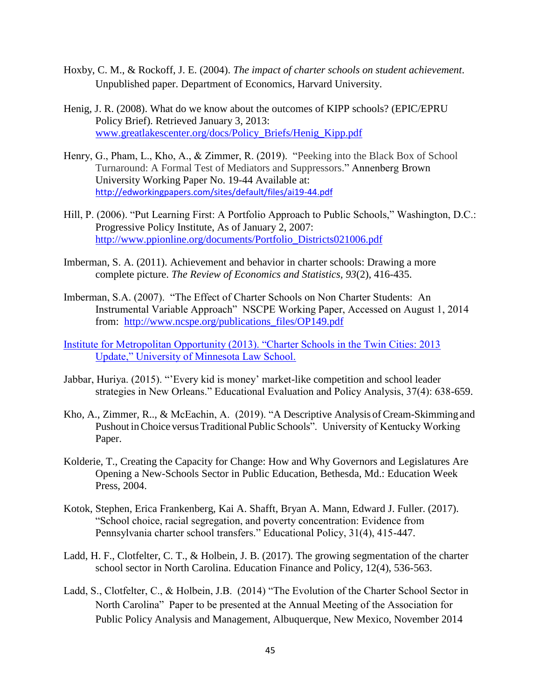- Hoxby, C. M., & Rockoff, J. E. (2004). *The impact of charter schools on student achievement*. Unpublished paper. Department of Economics, Harvard University.
- Henig, J. R. (2008). What do we know about the outcomes of KIPP schools? (EPIC/EPRU Policy Brief). Retrieved January 3, 2013: [www.greatlakescenter.org/docs/Policy\\_Briefs/Henig\\_Kipp.pdf](http://www.greatlakescenter.org/docs/Policy_Briefs/Henig_Kipp.pdf)
- Henry, G., Pham, L., Kho, A., & Zimmer, R. (2019). "Peeking into the Black Box of School Turnaround: A Formal Test of Mediators and Suppressors." Annenberg Brown University Working Paper No. 19-44 Available at: <http://edworkingpapers.com/sites/default/files/ai19-44.pdf>
- Hill, P. (2006). "Put Learning First: A Portfolio Approach to Public Schools," Washington, D.C.: Progressive Policy Institute, As of January 2, 2007: [http://www.ppionline.org/documents/Portfolio\\_Districts021006.pdf](http://www.ppionline.org/documents/Portfolio_Districts021006.pdf)
- Imberman, S. A. (2011). Achievement and behavior in charter schools: Drawing a more complete picture. *The Review of Economics and Statistics, 93*(2), 416-435.
- Imberman, S.A. (2007). "The Effect of Charter Schools on Non Charter Students: An Instrumental Variable Approach" NSCPE Working Paper, Accessed on August 1, 2014 from: [http://www.ncspe.org/publications\\_files/OP149.pdf](http://www.ncspe.org/publications_files/OP149.pdf)
- Institute for Metropolitan Opportunity (2013). "Charter Schools in the Twin Cities: 2013 Update," University of Minnesota Law School.
- Jabbar, Huriya. (2015). "'Every kid is money' market-like competition and school leader strategies in New Orleans." Educational Evaluation and Policy Analysis, 37(4): 638-659.
- Kho, A., Zimmer, R.., & McEachin, A. (2019). "A Descriptive Analysis of Cream-Skimming and Pushout in Choice versus Traditional Public Schools". University of Kentucky Working Paper.
- Kolderie, T., Creating the Capacity for Change: How and Why Governors and Legislatures Are Opening a New-Schools Sector in Public Education, Bethesda, Md.: Education Week Press, 2004.
- Kotok, Stephen, Erica Frankenberg, Kai A. Shafft, Bryan A. Mann, Edward J. Fuller. (2017). "School choice, racial segregation, and poverty concentration: Evidence from Pennsylvania charter school transfers." Educational Policy, 31(4), 415-447.
- Ladd, H. F., Clotfelter, C. T., & Holbein, J. B. (2017). The growing segmentation of the charter school sector in North Carolina. Education Finance and Policy, 12(4), 536-563.
- Ladd, S., Clotfelter, C., & Holbein, J.B. (2014) "The Evolution of the Charter School Sector in North Carolina" Paper to be presented at the Annual Meeting of the Association for Public Policy Analysis and Management, Albuquerque, New Mexico, November 2014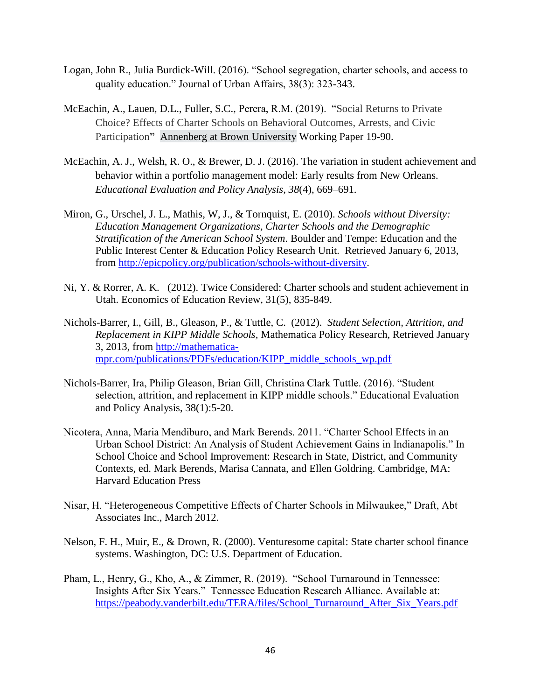- Logan, John R., Julia Burdick-Will. (2016). "School segregation, charter schools, and access to quality education." Journal of Urban Affairs, 38(3): 323-343.
- McEachin, A., Lauen, D.L., Fuller, S.C., Perera, R.M. (2019). "Social Returns to Private Choice? Effects of Charter Schools on Behavioral Outcomes, Arrests, and Civic Participation**"** [Annenberg at Brown University](https://annenberg.brown.edu/) Working Paper 19-90.
- McEachin, A. J., Welsh, R. O., & Brewer, D. J. (2016). The variation in student achievement and behavior within a portfolio management model: Early results from New Orleans. *Educational Evaluation and Policy Analysis*, *38*(4), 669–691.
- Miron, G., Urschel, J. L., Mathis, W, J., & Tornquist, E. (2010). *Schools without Diversity: Education Management Organizations, Charter Schools and the Demographic Stratification of the American School System*. Boulder and Tempe: Education and the Public Interest Center & Education Policy Research Unit. Retrieved January 6, 2013, from [http://epicpolicy.org/publication/schools-without-diversity.](http://epicpolicy.org/publication/schools-without-diversity)
- Ni, Y. & Rorrer, A. K. (2012). Twice Considered: Charter schools and student achievement in Utah. Economics of Education Review, 31(5), 835-849.
- Nichols-Barrer, I., Gill, B., Gleason, P., & Tuttle, C. (2012). *Student Selection, Attrition, and Replacement in KIPP Middle Schools,* Mathematica Policy Research, Retrieved January 3, 2013, from [http://mathematica](http://mathematica-mpr.com/publications/PDFs/education/KIPP_middle_schools_wp.pdf)[mpr.com/publications/PDFs/education/KIPP\\_middle\\_schools\\_wp.pdf](http://mathematica-mpr.com/publications/PDFs/education/KIPP_middle_schools_wp.pdf)
- Nichols-Barrer, Ira, Philip Gleason, Brian Gill, Christina Clark Tuttle. (2016). "Student selection, attrition, and replacement in KIPP middle schools." Educational Evaluation and Policy Analysis, 38(1):5-20.
- Nicotera, Anna, Maria Mendiburo, and Mark Berends. 2011. "Charter School Effects in an Urban School District: An Analysis of Student Achievement Gains in Indianapolis." In School Choice and School Improvement: Research in State, District, and Community Contexts, ed. Mark Berends, Marisa Cannata, and Ellen Goldring. Cambridge, MA: Harvard Education Press
- Nisar, H. "Heterogeneous Competitive Effects of Charter Schools in Milwaukee," Draft, Abt Associates Inc., March 2012.
- Nelson, F. H., Muir, E., & Drown, R. (2000). Venturesome capital: State charter school finance systems. Washington, DC: U.S. Department of Education.
- Pham, L., Henry, G., Kho, A., & Zimmer, R. (2019). "School Turnaround in Tennessee: Insights After Six Years." Tennessee Education Research Alliance. Available at: [https://peabody.vanderbilt.edu/TERA/files/School\\_Turnaround\\_After\\_Six\\_Years.pdf](https://peabody.vanderbilt.edu/TERA/files/School_Turnaround_After_Six_Years.pdf)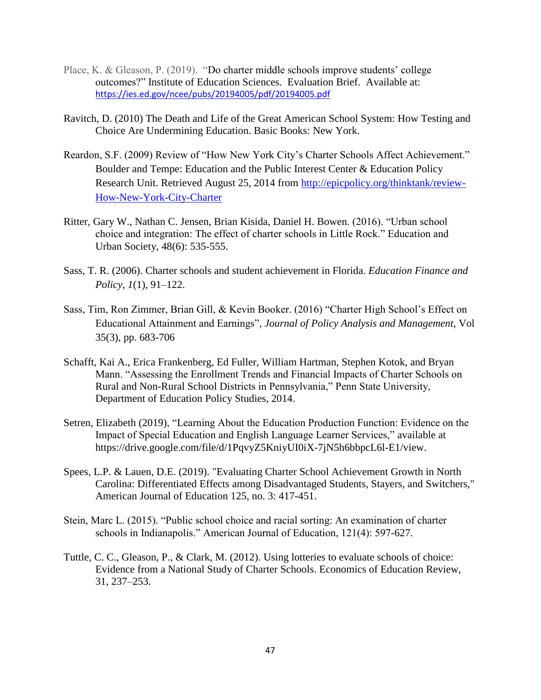- Place, K. & Gleason, P. (2019). "Do charter middle schools improve students' college outcomes?" Institute of Education Sciences. Evaluation Brief. Available at: <https://ies.ed.gov/ncee/pubs/20194005/pdf/20194005.pdf>
- Ravitch, D. (2010) The Death and Life of the Great American School System: How Testing and Choice Are Undermining Education. Basic Books: New York.
- Reardon, S.F. (2009) Review of "How New York City's Charter Schools Affect Achievement." Boulder and Tempe: Education and the Public Interest Center & Education Policy Research Unit. Retrieved August 25, 2014 from [http://epicpolicy.org/thinktank/review-](http://epicpolicy.org/thinktank/review-How-New-York-City-Charter)[How-New-York-City-Charter](http://epicpolicy.org/thinktank/review-How-New-York-City-Charter)
- Ritter, Gary W., Nathan C. Jensen, Brian Kisida, Daniel H. Bowen. (2016). "Urban school choice and integration: The effect of charter schools in Little Rock." Education and Urban Society, 48(6): 535-555.
- Sass, T. R. (2006). Charter schools and student achievement in Florida. *Education Finance and Policy*, *1*(1), 91–122.
- Sass, Tim, Ron Zimmer, Brian Gill, & Kevin Booker. (2016) "Charter High School's Effect on Educational Attainment and Earnings", *Journal of Policy Analysis and Management*, Vol 35(3), pp. 683-706
- Schafft, Kai A., Erica Frankenberg, Ed Fuller, William Hartman, Stephen Kotok, and Bryan Mann. "Assessing the Enrollment Trends and Financial Impacts of Charter Schools on Rural and Non-Rural School Districts in Pennsylvania," Penn State University, Department of Education Policy Studies, 2014.
- Setren, Elizabeth (2019), "Learning About the Education Production Function: Evidence on the Impact of Special Education and English Language Learner Services," available at https://drive.google.com/file/d/1PqvyZ5KniyUI0iX-7jN5h6bbpcL6l-E1/view.
- Spees, L.P. & Lauen, D.E. (2019). "Evaluating Charter School Achievement Growth in North Carolina: Differentiated Effects among Disadvantaged Students, Stayers, and Switchers," American Journal of Education 125, no. 3: 417-451.
- Stein, Marc L. (2015). "Public school choice and racial sorting: An examination of charter schools in Indianapolis." American Journal of Education, 121(4): 597-627.
- Tuttle, C. C., Gleason, P., & Clark, M. (2012). Using lotteries to evaluate schools of choice: Evidence from a National Study of Charter Schools. Economics of Education Review, 31, 237–253.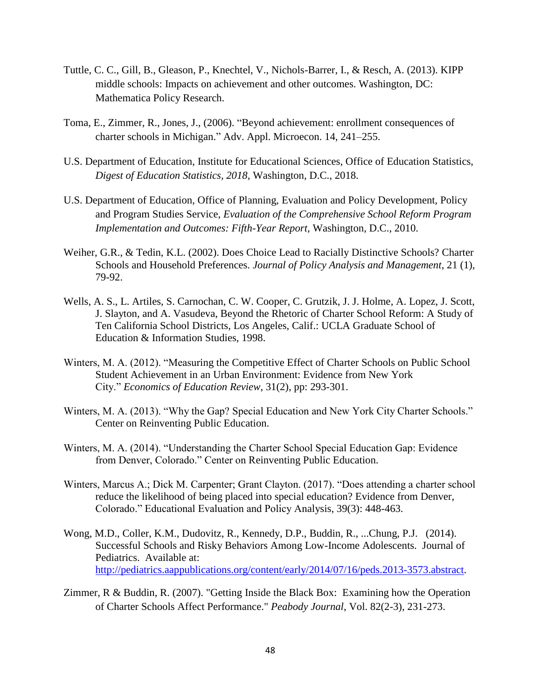- Tuttle, C. C., Gill, B., Gleason, P., Knechtel, V., Nichols-Barrer, I., & Resch, A. (2013). KIPP middle schools: Impacts on achievement and other outcomes. Washington, DC: Mathematica Policy Research.
- Toma, E., Zimmer, R., Jones, J., (2006). "Beyond achievement: enrollment consequences of charter schools in Michigan." Adv. Appl. Microecon. 14, 241–255.
- U.S. Department of Education, Institute for Educational Sciences, Office of Education Statistics, *Digest of Education Statistics, 2018,* Washington, D.C., 2018.
- U.S. Department of Education, Office of Planning, Evaluation and Policy Development, Policy and Program Studies Service, *Evaluation of the Comprehensive School Reform Program Implementation and Outcomes: Fifth-Year Report,* Washington, D.C., 2010.
- Weiher, G.R., & Tedin, K.L. (2002). Does Choice Lead to Racially Distinctive Schools? Charter Schools and Household Preferences. *Journal of Policy Analysis and Management*, 21 (1), 79-92.
- Wells, A. S., L. Artiles, S. Carnochan, C. W. Cooper, C. Grutzik, J. J. Holme, A. Lopez, J. Scott, J. Slayton, and A. Vasudeva, Beyond the Rhetoric of Charter School Reform: A Study of Ten California School Districts, Los Angeles, Calif.: UCLA Graduate School of Education & Information Studies, 1998.
- Winters, M. A. (2012). "Measuring the Competitive Effect of Charter Schools on Public School Student Achievement in an Urban Environment: Evidence from New York City." *Economics of Education Review*, 31(2), pp: 293-301.
- Winters, M. A. (2013). "Why the Gap? Special Education and New York City Charter Schools." Center on Reinventing Public Education.
- Winters, M. A. (2014). "Understanding the Charter School Special Education Gap: Evidence from Denver, Colorado." Center on Reinventing Public Education.
- Winters, Marcus A.; Dick M. Carpenter; Grant Clayton. (2017). "Does attending a charter school reduce the likelihood of being placed into special education? Evidence from Denver, Colorado." Educational Evaluation and Policy Analysis, 39(3): 448-463.
- Wong, M.D., Coller, K.M., Dudovitz, R., Kennedy, D.P., Buddin, R., ...Chung, P.J. (2014). Successful Schools and Risky Behaviors Among Low-Income Adolescents. Journal of Pediatrics. Available at: [http://pediatrics.aappublications.org/content/early/2014/07/16/peds.2013-3573.abstract.](http://pediatrics.aappublications.org/content/early/2014/07/16/peds.2013-3573.abstract)
- Zimmer, R & Buddin, R. (2007). "Getting Inside the Black Box: Examining how the Operation of Charter Schools Affect Performance." *Peabody Journal*, Vol. 82(2-3), 231-273.